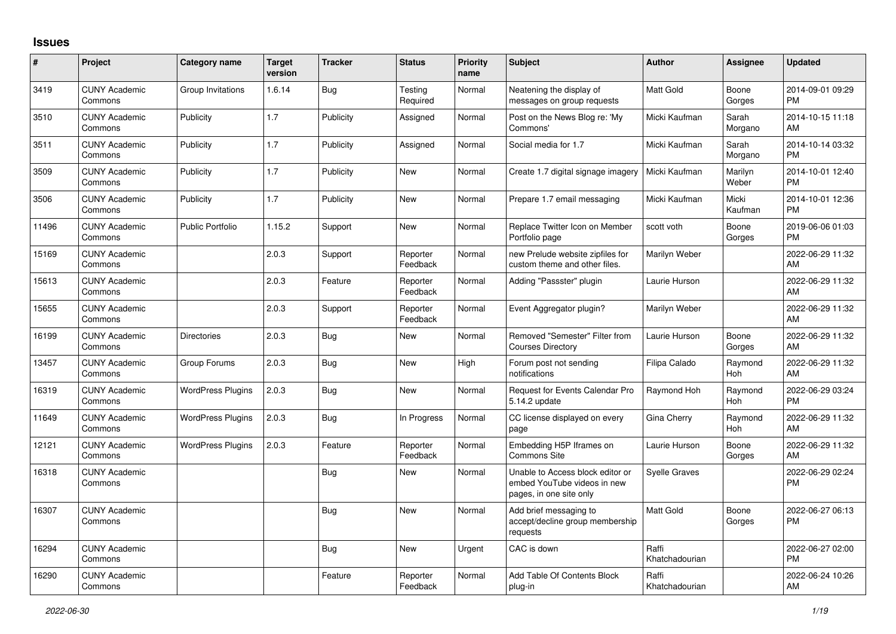## **Issues**

| #     | Project                         | <b>Category name</b>     | <b>Target</b><br>version | <b>Tracker</b> | <b>Status</b>        | <b>Priority</b><br>name | <b>Subject</b>                                                                             | <b>Author</b>           | <b>Assignee</b>  | <b>Updated</b>                |
|-------|---------------------------------|--------------------------|--------------------------|----------------|----------------------|-------------------------|--------------------------------------------------------------------------------------------|-------------------------|------------------|-------------------------------|
| 3419  | <b>CUNY Academic</b><br>Commons | Group Invitations        | 1.6.14                   | Bug            | Testing<br>Required  | Normal                  | Neatening the display of<br>messages on group requests                                     | <b>Matt Gold</b>        | Boone<br>Gorges  | 2014-09-01 09:29<br><b>PM</b> |
| 3510  | <b>CUNY Academic</b><br>Commons | Publicity                | 1.7                      | Publicity      | Assigned             | Normal                  | Post on the News Blog re: 'My<br>Commons'                                                  | Micki Kaufman           | Sarah<br>Morgano | 2014-10-15 11:18<br>AM        |
| 3511  | <b>CUNY Academic</b><br>Commons | Publicity                | 1.7                      | Publicity      | Assigned             | Normal                  | Social media for 1.7                                                                       | Micki Kaufman           | Sarah<br>Morgano | 2014-10-14 03:32<br><b>PM</b> |
| 3509  | <b>CUNY Academic</b><br>Commons | Publicity                | 1.7                      | Publicity      | <b>New</b>           | Normal                  | Create 1.7 digital signage imagery                                                         | Micki Kaufman           | Marilyn<br>Weber | 2014-10-01 12:40<br><b>PM</b> |
| 3506  | <b>CUNY Academic</b><br>Commons | Publicity                | 1.7                      | Publicity      | New                  | Normal                  | Prepare 1.7 email messaging                                                                | Micki Kaufman           | Micki<br>Kaufman | 2014-10-01 12:36<br><b>PM</b> |
| 11496 | <b>CUNY Academic</b><br>Commons | <b>Public Portfolio</b>  | 1.15.2                   | Support        | New                  | Normal                  | Replace Twitter Icon on Member<br>Portfolio page                                           | scott voth              | Boone<br>Gorges  | 2019-06-06 01:03<br><b>PM</b> |
| 15169 | <b>CUNY Academic</b><br>Commons |                          | 2.0.3                    | Support        | Reporter<br>Feedback | Normal                  | new Prelude website zipfiles for<br>custom theme and other files.                          | Marilyn Weber           |                  | 2022-06-29 11:32<br>AM        |
| 15613 | <b>CUNY Academic</b><br>Commons |                          | 2.0.3                    | Feature        | Reporter<br>Feedback | Normal                  | Adding "Passster" plugin                                                                   | Laurie Hurson           |                  | 2022-06-29 11:32<br>AM        |
| 15655 | <b>CUNY Academic</b><br>Commons |                          | 2.0.3                    | Support        | Reporter<br>Feedback | Normal                  | Event Aggregator plugin?                                                                   | Marilyn Weber           |                  | 2022-06-29 11:32<br>AM        |
| 16199 | <b>CUNY Academic</b><br>Commons | <b>Directories</b>       | 2.0.3                    | Bug            | New                  | Normal                  | Removed "Semester" Filter from<br><b>Courses Directory</b>                                 | Laurie Hurson           | Boone<br>Gorges  | 2022-06-29 11:32<br>AM        |
| 13457 | <b>CUNY Academic</b><br>Commons | Group Forums             | 2.0.3                    | Bug            | New                  | High                    | Forum post not sending<br>notifications                                                    | Filipa Calado           | Raymond<br>Hoh   | 2022-06-29 11:32<br>AM        |
| 16319 | <b>CUNY Academic</b><br>Commons | <b>WordPress Plugins</b> | 2.0.3                    | Bug            | New                  | Normal                  | <b>Request for Events Calendar Pro</b><br>5.14.2 update                                    | Raymond Hoh             | Raymond<br>Hoh   | 2022-06-29 03:24<br><b>PM</b> |
| 11649 | <b>CUNY Academic</b><br>Commons | <b>WordPress Plugins</b> | 2.0.3                    | <b>Bug</b>     | In Progress          | Normal                  | CC license displayed on every<br>page                                                      | Gina Cherry             | Raymond<br>Hoh   | 2022-06-29 11:32<br>AM        |
| 12121 | <b>CUNY Academic</b><br>Commons | <b>WordPress Plugins</b> | 2.0.3                    | Feature        | Reporter<br>Feedback | Normal                  | Embedding H5P Iframes on<br>Commons Site                                                   | Laurie Hurson           | Boone<br>Gorges  | 2022-06-29 11:32<br>AM        |
| 16318 | <b>CUNY Academic</b><br>Commons |                          |                          | Bug            | New                  | Normal                  | Unable to Access block editor or<br>embed YouTube videos in new<br>pages, in one site only | <b>Syelle Graves</b>    |                  | 2022-06-29 02:24<br><b>PM</b> |
| 16307 | <b>CUNY Academic</b><br>Commons |                          |                          | Bug            | New                  | Normal                  | Add brief messaging to<br>accept/decline group membership<br>requests                      | <b>Matt Gold</b>        | Boone<br>Gorges  | 2022-06-27 06:13<br><b>PM</b> |
| 16294 | <b>CUNY Academic</b><br>Commons |                          |                          | Bug            | New                  | Urgent                  | CAC is down                                                                                | Raffi<br>Khatchadourian |                  | 2022-06-27 02:00<br><b>PM</b> |
| 16290 | <b>CUNY Academic</b><br>Commons |                          |                          | Feature        | Reporter<br>Feedback | Normal                  | Add Table Of Contents Block<br>plug-in                                                     | Raffi<br>Khatchadourian |                  | 2022-06-24 10:26<br>AM        |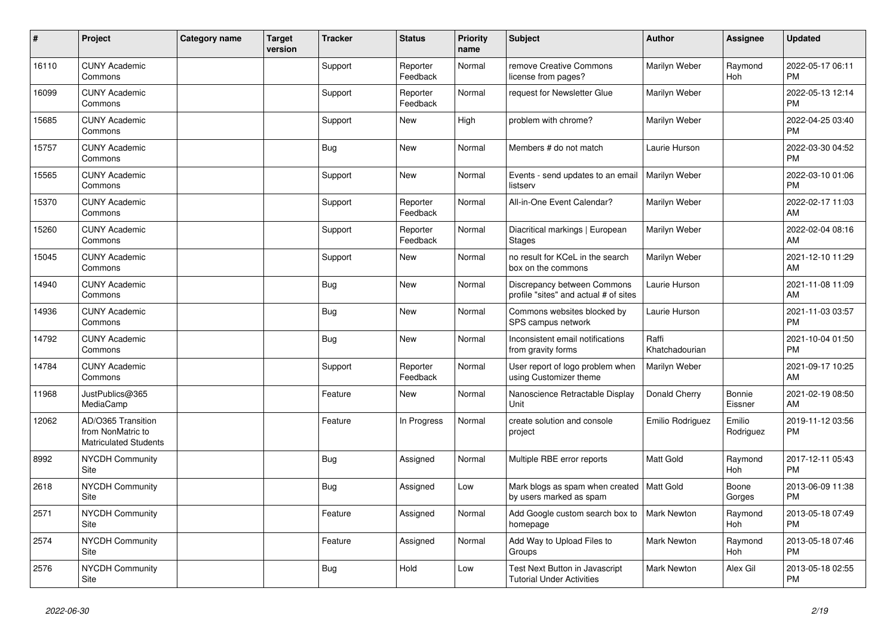| #     | Project                                                                 | <b>Category name</b> | <b>Target</b><br>version | <b>Tracker</b> | <b>Status</b>        | <b>Priority</b><br>name | Subject                                                                   | <b>Author</b>           | <b>Assignee</b>     | <b>Updated</b>                |
|-------|-------------------------------------------------------------------------|----------------------|--------------------------|----------------|----------------------|-------------------------|---------------------------------------------------------------------------|-------------------------|---------------------|-------------------------------|
| 16110 | <b>CUNY Academic</b><br>Commons                                         |                      |                          | Support        | Reporter<br>Feedback | Normal                  | remove Creative Commons<br>license from pages?                            | Marilyn Weber           | Raymond<br>Hoh      | 2022-05-17 06:11<br><b>PM</b> |
| 16099 | <b>CUNY Academic</b><br>Commons                                         |                      |                          | Support        | Reporter<br>Feedback | Normal                  | request for Newsletter Glue                                               | Marilyn Weber           |                     | 2022-05-13 12:14<br><b>PM</b> |
| 15685 | <b>CUNY Academic</b><br>Commons                                         |                      |                          | Support        | <b>New</b>           | High                    | problem with chrome?                                                      | Marilyn Weber           |                     | 2022-04-25 03:40<br><b>PM</b> |
| 15757 | <b>CUNY Academic</b><br>Commons                                         |                      |                          | <b>Bug</b>     | <b>New</b>           | Normal                  | Members # do not match                                                    | Laurie Hurson           |                     | 2022-03-30 04:52<br><b>PM</b> |
| 15565 | <b>CUNY Academic</b><br>Commons                                         |                      |                          | Support        | <b>New</b>           | Normal                  | Events - send updates to an email<br>listserv                             | Marilyn Weber           |                     | 2022-03-10 01:06<br><b>PM</b> |
| 15370 | <b>CUNY Academic</b><br>Commons                                         |                      |                          | Support        | Reporter<br>Feedback | Normal                  | All-in-One Event Calendar?                                                | Marilyn Weber           |                     | 2022-02-17 11:03<br>AM        |
| 15260 | <b>CUNY Academic</b><br>Commons                                         |                      |                          | Support        | Reporter<br>Feedback | Normal                  | Diacritical markings   European<br><b>Stages</b>                          | Marilyn Weber           |                     | 2022-02-04 08:16<br>AM        |
| 15045 | <b>CUNY Academic</b><br>Commons                                         |                      |                          | Support        | <b>New</b>           | Normal                  | no result for KCeL in the search<br>box on the commons                    | Marilyn Weber           |                     | 2021-12-10 11:29<br>AM        |
| 14940 | <b>CUNY Academic</b><br>Commons                                         |                      |                          | Bug            | <b>New</b>           | Normal                  | Discrepancy between Commons<br>profile "sites" and actual # of sites      | Laurie Hurson           |                     | 2021-11-08 11:09<br>AM        |
| 14936 | <b>CUNY Academic</b><br>Commons                                         |                      |                          | <b>Bug</b>     | <b>New</b>           | Normal                  | Commons websites blocked by<br>SPS campus network                         | Laurie Hurson           |                     | 2021-11-03 03:57<br><b>PM</b> |
| 14792 | <b>CUNY Academic</b><br>Commons                                         |                      |                          | Bug            | <b>New</b>           | Normal                  | Inconsistent email notifications<br>from gravity forms                    | Raffi<br>Khatchadourian |                     | 2021-10-04 01:50<br><b>PM</b> |
| 14784 | <b>CUNY Academic</b><br>Commons                                         |                      |                          | Support        | Reporter<br>Feedback | Normal                  | User report of logo problem when<br>using Customizer theme                | Marilyn Weber           |                     | 2021-09-17 10:25<br>AM        |
| 11968 | JustPublics@365<br>MediaCamp                                            |                      |                          | Feature        | <b>New</b>           | Normal                  | Nanoscience Retractable Display<br>Unit                                   | Donald Cherry           | Bonnie<br>Eissner   | 2021-02-19 08:50<br>AM        |
| 12062 | AD/O365 Transition<br>from NonMatric to<br><b>Matriculated Students</b> |                      |                          | Feature        | In Progress          | Normal                  | create solution and console<br>project                                    | Emilio Rodriguez        | Emilio<br>Rodriguez | 2019-11-12 03:56<br><b>PM</b> |
| 8992  | <b>NYCDH Community</b><br><b>Site</b>                                   |                      |                          | Bug            | Assigned             | Normal                  | Multiple RBE error reports                                                | <b>Matt Gold</b>        | Raymond<br>Hoh      | 2017-12-11 05:43<br><b>PM</b> |
| 2618  | <b>NYCDH Community</b><br>Site                                          |                      |                          | <b>Bug</b>     | Assigned             | Low                     | Mark blogs as spam when created   Matt Gold<br>by users marked as spam    |                         | Boone<br>Gorges     | 2013-06-09 11:38<br><b>PM</b> |
| 2571  | <b>NYCDH Community</b><br>Site                                          |                      |                          | Feature        | Assigned             | Normal                  | Add Google custom search box to<br>homepage                               | <b>Mark Newton</b>      | Raymond<br>Hoh      | 2013-05-18 07:49<br><b>PM</b> |
| 2574  | <b>NYCDH Community</b><br>Site                                          |                      |                          | Feature        | Assigned             | Normal                  | Add Way to Upload Files to<br>Groups                                      | <b>Mark Newton</b>      | Raymond<br>Hoh      | 2013-05-18 07:46<br><b>PM</b> |
| 2576  | NYCDH Community<br>Site                                                 |                      |                          | Bug            | Hold                 | Low                     | <b>Test Next Button in Javascript</b><br><b>Tutorial Under Activities</b> | <b>Mark Newton</b>      | Alex Gil            | 2013-05-18 02:55<br><b>PM</b> |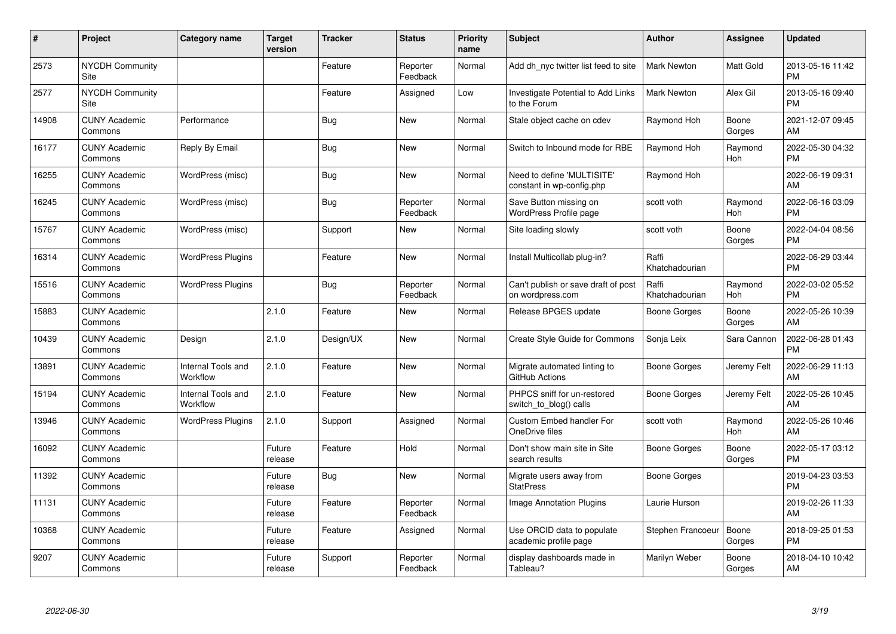| #     | Project                         | <b>Category name</b>           | <b>Target</b><br>version | <b>Tracker</b> | <b>Status</b>        | <b>Priority</b><br>name | <b>Subject</b>                                          | <b>Author</b>           | <b>Assignee</b> | <b>Updated</b>                |
|-------|---------------------------------|--------------------------------|--------------------------|----------------|----------------------|-------------------------|---------------------------------------------------------|-------------------------|-----------------|-------------------------------|
| 2573  | <b>NYCDH Community</b><br>Site  |                                |                          | Feature        | Reporter<br>Feedback | Normal                  | Add dh nyc twitter list feed to site                    | <b>Mark Newton</b>      | Matt Gold       | 2013-05-16 11:42<br><b>PM</b> |
| 2577  | <b>NYCDH Community</b><br>Site  |                                |                          | Feature        | Assigned             | Low                     | Investigate Potential to Add Links<br>to the Forum      | <b>Mark Newton</b>      | Alex Gil        | 2013-05-16 09:40<br><b>PM</b> |
| 14908 | <b>CUNY Academic</b><br>Commons | Performance                    |                          | <b>Bug</b>     | <b>New</b>           | Normal                  | Stale object cache on cdev                              | Raymond Hoh             | Boone<br>Gorges | 2021-12-07 09:45<br>AM        |
| 16177 | <b>CUNY Academic</b><br>Commons | Reply By Email                 |                          | Bug            | <b>New</b>           | Normal                  | Switch to Inbound mode for RBE                          | Raymond Hoh             | Raymond<br>Hoh  | 2022-05-30 04:32<br><b>PM</b> |
| 16255 | <b>CUNY Academic</b><br>Commons | WordPress (misc)               |                          | Bug            | New                  | Normal                  | Need to define 'MULTISITE'<br>constant in wp-config.php | Raymond Hoh             |                 | 2022-06-19 09:31<br>AM        |
| 16245 | <b>CUNY Academic</b><br>Commons | WordPress (misc)               |                          | Bug            | Reporter<br>Feedback | Normal                  | Save Button missing on<br><b>WordPress Profile page</b> | scott voth              | Raymond<br>Hoh  | 2022-06-16 03:09<br><b>PM</b> |
| 15767 | <b>CUNY Academic</b><br>Commons | WordPress (misc)               |                          | Support        | New                  | Normal                  | Site loading slowly                                     | scott voth              | Boone<br>Gorges | 2022-04-04 08:56<br><b>PM</b> |
| 16314 | <b>CUNY Academic</b><br>Commons | <b>WordPress Plugins</b>       |                          | Feature        | New                  | Normal                  | Install Multicollab plug-in?                            | Raffi<br>Khatchadourian |                 | 2022-06-29 03:44<br><b>PM</b> |
| 15516 | <b>CUNY Academic</b><br>Commons | <b>WordPress Plugins</b>       |                          | Bug            | Reporter<br>Feedback | Normal                  | Can't publish or save draft of post<br>on wordpress.com | Raffi<br>Khatchadourian | Raymond<br>Hoh  | 2022-03-02 05:52<br><b>PM</b> |
| 15883 | <b>CUNY Academic</b><br>Commons |                                | 2.1.0                    | Feature        | New                  | Normal                  | Release BPGES update                                    | Boone Gorges            | Boone<br>Gorges | 2022-05-26 10:39<br>AM        |
| 10439 | <b>CUNY Academic</b><br>Commons | Design                         | 2.1.0                    | Design/UX      | New                  | Normal                  | Create Style Guide for Commons                          | Sonja Leix              | Sara Cannon     | 2022-06-28 01:43<br><b>PM</b> |
| 13891 | <b>CUNY Academic</b><br>Commons | Internal Tools and<br>Workflow | 2.1.0                    | Feature        | New                  | Normal                  | Migrate automated linting to<br>GitHub Actions          | Boone Gorges            | Jeremy Felt     | 2022-06-29 11:13<br>AM        |
| 15194 | <b>CUNY Academic</b><br>Commons | Internal Tools and<br>Workflow | 2.1.0                    | Feature        | New                  | Normal                  | PHPCS sniff for un-restored<br>switch_to_blog() calls   | Boone Gorges            | Jeremy Felt     | 2022-05-26 10:45<br>AM        |
| 13946 | <b>CUNY Academic</b><br>Commons | <b>WordPress Plugins</b>       | 2.1.0                    | Support        | Assigned             | Normal                  | <b>Custom Embed handler For</b><br>OneDrive files       | scott voth              | Raymond<br>Hoh  | 2022-05-26 10:46<br>AM        |
| 16092 | <b>CUNY Academic</b><br>Commons |                                | Future<br>release        | Feature        | Hold                 | Normal                  | Don't show main site in Site<br>search results          | Boone Gorges            | Boone<br>Gorges | 2022-05-17 03:12<br><b>PM</b> |
| 11392 | <b>CUNY Academic</b><br>Commons |                                | Future<br>release        | Bug            | New                  | Normal                  | Migrate users away from<br><b>StatPress</b>             | Boone Gorges            |                 | 2019-04-23 03:53<br><b>PM</b> |
| 11131 | <b>CUNY Academic</b><br>Commons |                                | Future<br>release        | Feature        | Reporter<br>Feedback | Normal                  | Image Annotation Plugins                                | Laurie Hurson           |                 | 2019-02-26 11:33<br>AM        |
| 10368 | <b>CUNY Academic</b><br>Commons |                                | Future<br>release        | Feature        | Assigned             | Normal                  | Use ORCID data to populate<br>academic profile page     | Stephen Francoeur       | Boone<br>Gorges | 2018-09-25 01:53<br><b>PM</b> |
| 9207  | <b>CUNY Academic</b><br>Commons |                                | Future<br>release        | Support        | Reporter<br>Feedback | Normal                  | display dashboards made in<br>Tableau?                  | Marilyn Weber           | Boone<br>Gorges | 2018-04-10 10:42<br>AM        |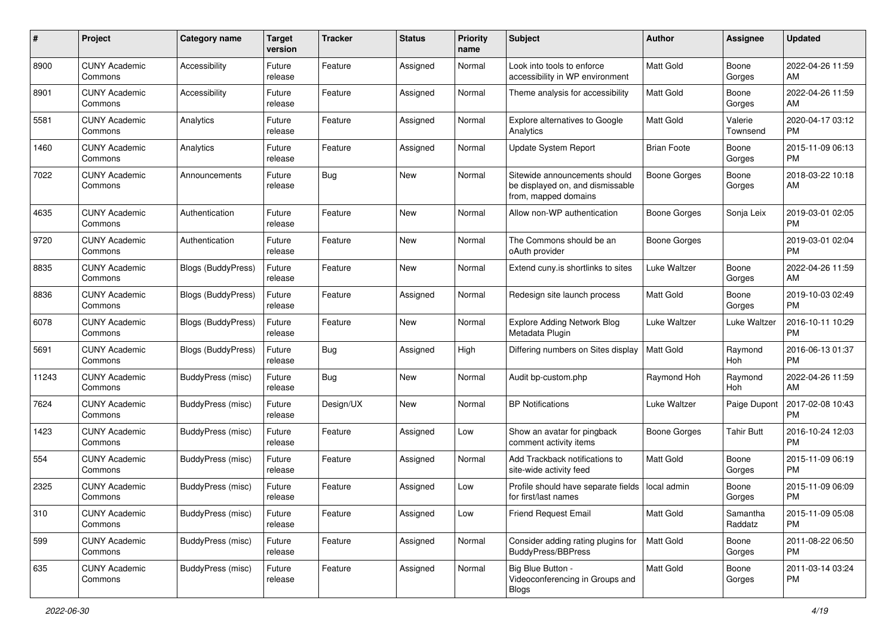| #     | Project                         | <b>Category name</b>      | <b>Target</b><br>version | <b>Tracker</b> | <b>Status</b> | Priority<br>name | <b>Subject</b>                                                                            | Author              | <b>Assignee</b>     | <b>Updated</b>                |
|-------|---------------------------------|---------------------------|--------------------------|----------------|---------------|------------------|-------------------------------------------------------------------------------------------|---------------------|---------------------|-------------------------------|
| 8900  | <b>CUNY Academic</b><br>Commons | Accessibility             | Future<br>release        | Feature        | Assigned      | Normal           | Look into tools to enforce<br>accessibility in WP environment                             | <b>Matt Gold</b>    | Boone<br>Gorges     | 2022-04-26 11:59<br>AM        |
| 8901  | <b>CUNY Academic</b><br>Commons | Accessibility             | Future<br>release        | Feature        | Assigned      | Normal           | Theme analysis for accessibility                                                          | <b>Matt Gold</b>    | Boone<br>Gorges     | 2022-04-26 11:59<br>AM        |
| 5581  | <b>CUNY Academic</b><br>Commons | Analytics                 | Future<br>release        | Feature        | Assigned      | Normal           | Explore alternatives to Google<br>Analytics                                               | Matt Gold           | Valerie<br>Townsend | 2020-04-17 03:12<br><b>PM</b> |
| 1460  | <b>CUNY Academic</b><br>Commons | Analytics                 | Future<br>release        | Feature        | Assigned      | Normal           | Update System Report                                                                      | <b>Brian Foote</b>  | Boone<br>Gorges     | 2015-11-09 06:13<br><b>PM</b> |
| 7022  | <b>CUNY Academic</b><br>Commons | Announcements             | Future<br>release        | Bug            | New           | Normal           | Sitewide announcements should<br>be displayed on, and dismissable<br>from, mapped domains | Boone Gorges        | Boone<br>Gorges     | 2018-03-22 10:18<br>AM        |
| 4635  | <b>CUNY Academic</b><br>Commons | Authentication            | Future<br>release        | Feature        | New           | Normal           | Allow non-WP authentication                                                               | <b>Boone Gorges</b> | Sonja Leix          | 2019-03-01 02:05<br><b>PM</b> |
| 9720  | <b>CUNY Academic</b><br>Commons | Authentication            | Future<br>release        | Feature        | New           | Normal           | The Commons should be an<br>oAuth provider                                                | <b>Boone Gorges</b> |                     | 2019-03-01 02:04<br><b>PM</b> |
| 8835  | <b>CUNY Academic</b><br>Commons | Blogs (BuddyPress)        | Future<br>release        | Feature        | New           | Normal           | Extend cuny is shortlinks to sites                                                        | Luke Waltzer        | Boone<br>Gorges     | 2022-04-26 11:59<br>AM        |
| 8836  | <b>CUNY Academic</b><br>Commons | Blogs (BuddyPress)        | Future<br>release        | Feature        | Assigned      | Normal           | Redesign site launch process                                                              | Matt Gold           | Boone<br>Gorges     | 2019-10-03 02:49<br>PM        |
| 6078  | <b>CUNY Academic</b><br>Commons | Blogs (BuddyPress)        | Future<br>release        | Feature        | New           | Normal           | <b>Explore Adding Network Blog</b><br>Metadata Plugin                                     | Luke Waltzer        | Luke Waltzer        | 2016-10-11 10:29<br><b>PM</b> |
| 5691  | <b>CUNY Academic</b><br>Commons | <b>Blogs (BuddyPress)</b> | Future<br>release        | Bug            | Assigned      | High             | Differing numbers on Sites display                                                        | <b>Matt Gold</b>    | Raymond<br>Hoh      | 2016-06-13 01:37<br><b>PM</b> |
| 11243 | <b>CUNY Academic</b><br>Commons | <b>BuddyPress</b> (misc)  | Future<br>release        | Bug            | New           | Normal           | Audit bp-custom.php                                                                       | Raymond Hoh         | Raymond<br>Hoh      | 2022-04-26 11:59<br>AM        |
| 7624  | <b>CUNY Academic</b><br>Commons | BuddyPress (misc)         | Future<br>release        | Design/UX      | <b>New</b>    | Normal           | <b>BP</b> Notifications                                                                   | Luke Waltzer        | Paige Dupont        | 2017-02-08 10:43<br><b>PM</b> |
| 1423  | <b>CUNY Academic</b><br>Commons | BuddyPress (misc)         | Future<br>release        | Feature        | Assigned      | Low              | Show an avatar for pingback<br>comment activity items                                     | Boone Gorges        | <b>Tahir Butt</b>   | 2016-10-24 12:03<br><b>PM</b> |
| 554   | <b>CUNY Academic</b><br>Commons | BuddyPress (misc)         | Future<br>release        | Feature        | Assigned      | Normal           | Add Trackback notifications to<br>site-wide activity feed                                 | <b>Matt Gold</b>    | Boone<br>Gorges     | 2015-11-09 06:19<br><b>PM</b> |
| 2325  | <b>CUNY Academic</b><br>Commons | <b>BuddyPress</b> (misc)  | Future<br>release        | Feature        | Assigned      | Low              | Profile should have separate fields<br>for first/last names                               | local admin         | Boone<br>Gorges     | 2015-11-09 06:09<br><b>PM</b> |
| 310   | <b>CUNY Academic</b><br>Commons | BuddyPress (misc)         | Future<br>release        | Feature        | Assigned      | Low              | Friend Request Email                                                                      | Matt Gold           | Samantha<br>Raddatz | 2015-11-09 05:08<br><b>PM</b> |
| 599   | <b>CUNY Academic</b><br>Commons | BuddyPress (misc)         | Future<br>release        | Feature        | Assigned      | Normal           | Consider adding rating plugins for<br><b>BuddyPress/BBPress</b>                           | Matt Gold           | Boone<br>Gorges     | 2011-08-22 06:50<br><b>PM</b> |
| 635   | <b>CUNY Academic</b><br>Commons | BuddyPress (misc)         | Future<br>release        | Feature        | Assigned      | Normal           | Big Blue Button -<br>Videoconferencing in Groups and<br><b>Blogs</b>                      | <b>Matt Gold</b>    | Boone<br>Gorges     | 2011-03-14 03:24<br><b>PM</b> |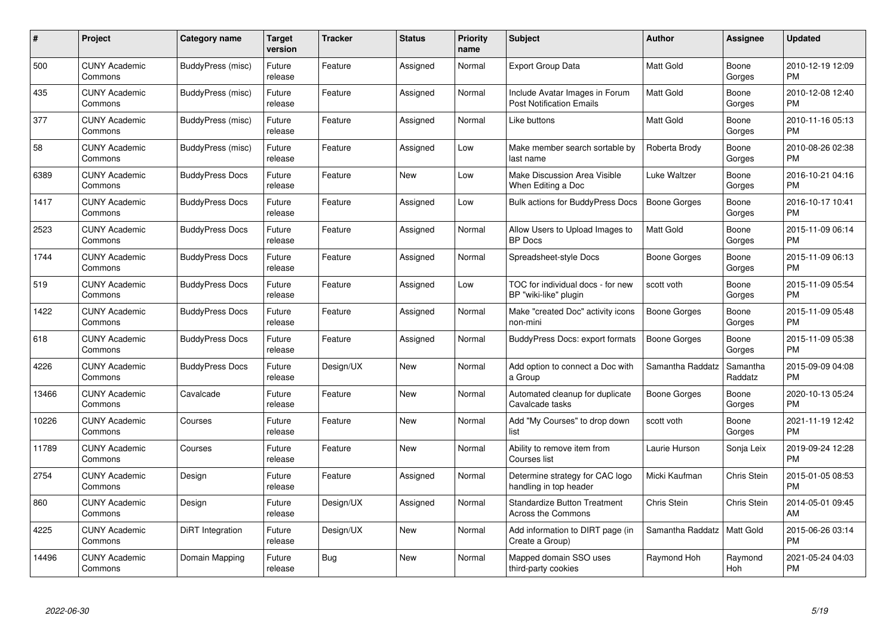| #     | Project                         | <b>Category name</b>   | Target<br>version | <b>Tracker</b> | <b>Status</b> | <b>Priority</b><br>name | <b>Subject</b>                                                    | <b>Author</b>    | <b>Assignee</b>     | <b>Updated</b>                |
|-------|---------------------------------|------------------------|-------------------|----------------|---------------|-------------------------|-------------------------------------------------------------------|------------------|---------------------|-------------------------------|
| 500   | <b>CUNY Academic</b><br>Commons | BuddyPress (misc)      | Future<br>release | Feature        | Assigned      | Normal                  | <b>Export Group Data</b>                                          | Matt Gold        | Boone<br>Gorges     | 2010-12-19 12:09<br><b>PM</b> |
| 435   | <b>CUNY Academic</b><br>Commons | BuddyPress (misc)      | Future<br>release | Feature        | Assigned      | Normal                  | Include Avatar Images in Forum<br><b>Post Notification Emails</b> | Matt Gold        | Boone<br>Gorges     | 2010-12-08 12:40<br><b>PM</b> |
| 377   | <b>CUNY Academic</b><br>Commons | BuddyPress (misc)      | Future<br>release | Feature        | Assigned      | Normal                  | Like buttons                                                      | Matt Gold        | Boone<br>Gorges     | 2010-11-16 05:13<br><b>PM</b> |
| 58    | <b>CUNY Academic</b><br>Commons | BuddyPress (misc)      | Future<br>release | Feature        | Assigned      | Low                     | Make member search sortable by<br>last name                       | Roberta Brody    | Boone<br>Gorges     | 2010-08-26 02:38<br><b>PM</b> |
| 6389  | <b>CUNY Academic</b><br>Commons | <b>BuddyPress Docs</b> | Future<br>release | Feature        | New           | Low                     | Make Discussion Area Visible<br>When Editing a Doc                | Luke Waltzer     | Boone<br>Gorges     | 2016-10-21 04:16<br><b>PM</b> |
| 1417  | <b>CUNY Academic</b><br>Commons | <b>BuddyPress Docs</b> | Future<br>release | Feature        | Assigned      | Low                     | Bulk actions for BuddyPress Docs                                  | Boone Gorges     | Boone<br>Gorges     | 2016-10-17 10:41<br><b>PM</b> |
| 2523  | <b>CUNY Academic</b><br>Commons | <b>BuddyPress Docs</b> | Future<br>release | Feature        | Assigned      | Normal                  | Allow Users to Upload Images to<br><b>BP</b> Docs                 | <b>Matt Gold</b> | Boone<br>Gorges     | 2015-11-09 06:14<br><b>PM</b> |
| 1744  | <b>CUNY Academic</b><br>Commons | <b>BuddyPress Docs</b> | Future<br>release | Feature        | Assigned      | Normal                  | Spreadsheet-style Docs                                            | Boone Gorges     | Boone<br>Gorges     | 2015-11-09 06:13<br><b>PM</b> |
| 519   | <b>CUNY Academic</b><br>Commons | <b>BuddyPress Docs</b> | Future<br>release | Feature        | Assigned      | Low                     | TOC for individual docs - for new<br>BP "wiki-like" plugin        | scott voth       | Boone<br>Gorges     | 2015-11-09 05:54<br><b>PM</b> |
| 1422  | <b>CUNY Academic</b><br>Commons | <b>BuddyPress Docs</b> | Future<br>release | Feature        | Assigned      | Normal                  | Make "created Doc" activity icons<br>non-mini                     | Boone Gorges     | Boone<br>Gorges     | 2015-11-09 05:48<br><b>PM</b> |
| 618   | <b>CUNY Academic</b><br>Commons | <b>BuddyPress Docs</b> | Future<br>release | Feature        | Assigned      | Normal                  | <b>BuddyPress Docs: export formats</b>                            | Boone Gorges     | Boone<br>Gorges     | 2015-11-09 05:38<br><b>PM</b> |
| 4226  | <b>CUNY Academic</b><br>Commons | <b>BuddyPress Docs</b> | Future<br>release | Design/UX      | New           | Normal                  | Add option to connect a Doc with<br>a Group                       | Samantha Raddatz | Samantha<br>Raddatz | 2015-09-09 04:08<br><b>PM</b> |
| 13466 | <b>CUNY Academic</b><br>Commons | Cavalcade              | Future<br>release | Feature        | New           | Normal                  | Automated cleanup for duplicate<br>Cavalcade tasks                | Boone Gorges     | Boone<br>Gorges     | 2020-10-13 05:24<br>PM        |
| 10226 | <b>CUNY Academic</b><br>Commons | Courses                | Future<br>release | Feature        | New           | Normal                  | Add "My Courses" to drop down<br>list                             | scott voth       | Boone<br>Gorges     | 2021-11-19 12:42<br><b>PM</b> |
| 11789 | <b>CUNY Academic</b><br>Commons | Courses                | Future<br>release | Feature        | New           | Normal                  | Ability to remove item from<br>Courses list                       | Laurie Hurson    | Sonja Leix          | 2019-09-24 12:28<br><b>PM</b> |
| 2754  | <b>CUNY Academic</b><br>Commons | Design                 | Future<br>release | Feature        | Assigned      | Normal                  | Determine strategy for CAC logo<br>handling in top header         | Micki Kaufman    | Chris Stein         | 2015-01-05 08:53<br><b>PM</b> |
| 860   | <b>CUNY Academic</b><br>Commons | Design                 | Future<br>release | Design/UX      | Assigned      | Normal                  | <b>Standardize Button Treatment</b><br><b>Across the Commons</b>  | Chris Stein      | <b>Chris Stein</b>  | 2014-05-01 09:45<br>AM        |
| 4225  | <b>CUNY Academic</b><br>Commons | DiRT Integration       | Future<br>release | Design/UX      | <b>New</b>    | Normal                  | Add information to DIRT page (in<br>Create a Group)               | Samantha Raddatz | Matt Gold           | 2015-06-26 03:14<br><b>PM</b> |
| 14496 | <b>CUNY Academic</b><br>Commons | Domain Mapping         | Future<br>release | Bug            | New           | Normal                  | Mapped domain SSO uses<br>third-party cookies                     | Raymond Hoh      | Raymond<br>Hoh      | 2021-05-24 04:03<br>PM        |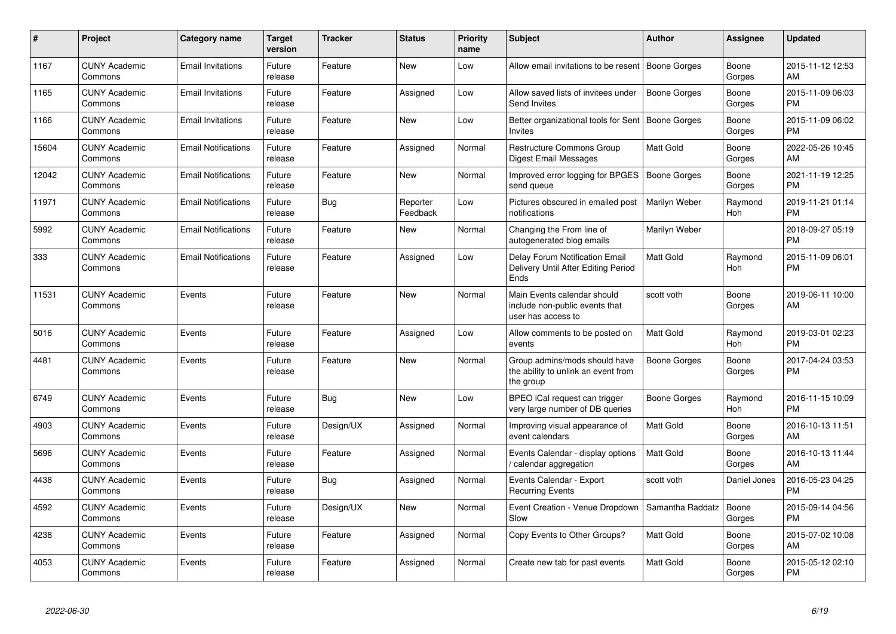| #     | Project                         | <b>Category name</b>       | <b>Target</b><br>version | <b>Tracker</b> | <b>Status</b>        | Priority<br>name | <b>Subject</b>                                                                       | <b>Author</b>       | <b>Assignee</b> | <b>Updated</b>                |
|-------|---------------------------------|----------------------------|--------------------------|----------------|----------------------|------------------|--------------------------------------------------------------------------------------|---------------------|-----------------|-------------------------------|
| 1167  | <b>CUNY Academic</b><br>Commons | <b>Email Invitations</b>   | Future<br>release        | Feature        | New                  | Low              | Allow email invitations to be resent                                                 | Boone Gorges        | Boone<br>Gorges | 2015-11-12 12:53<br>AM        |
| 1165  | <b>CUNY Academic</b><br>Commons | <b>Email Invitations</b>   | Future<br>release        | Feature        | Assigned             | Low              | Allow saved lists of invitees under<br>Send Invites                                  | Boone Gorges        | Boone<br>Gorges | 2015-11-09 06:03<br><b>PM</b> |
| 1166  | <b>CUNY Academic</b><br>Commons | <b>Email Invitations</b>   | Future<br>release        | Feature        | New                  | Low              | Better organizational tools for Sent<br><b>Invites</b>                               | Boone Gorges        | Boone<br>Gorges | 2015-11-09 06:02<br><b>PM</b> |
| 15604 | <b>CUNY Academic</b><br>Commons | <b>Email Notifications</b> | Future<br>release        | Feature        | Assigned             | Normal           | Restructure Commons Group<br>Digest Email Messages                                   | Matt Gold           | Boone<br>Gorges | 2022-05-26 10:45<br>AM        |
| 12042 | <b>CUNY Academic</b><br>Commons | <b>Email Notifications</b> | Future<br>release        | Feature        | New                  | Normal           | Improved error logging for BPGES<br>send queue                                       | <b>Boone Gorges</b> | Boone<br>Gorges | 2021-11-19 12:25<br><b>PM</b> |
| 11971 | <b>CUNY Academic</b><br>Commons | <b>Email Notifications</b> | Future<br>release        | Bug            | Reporter<br>Feedback | Low              | Pictures obscured in emailed post<br>notifications                                   | Marilyn Weber       | Raymond<br>Hoh  | 2019-11-21 01:14<br><b>PM</b> |
| 5992  | <b>CUNY Academic</b><br>Commons | <b>Email Notifications</b> | Future<br>release        | Feature        | New                  | Normal           | Changing the From line of<br>autogenerated blog emails                               | Marilyn Weber       |                 | 2018-09-27 05:19<br><b>PM</b> |
| 333   | <b>CUNY Academic</b><br>Commons | <b>Email Notifications</b> | Future<br>release        | Feature        | Assigned             | Low              | <b>Delay Forum Notification Email</b><br>Delivery Until After Editing Period<br>Ends | <b>Matt Gold</b>    | Raymond<br>Hoh  | 2015-11-09 06:01<br>PM        |
| 11531 | <b>CUNY Academic</b><br>Commons | Events                     | Future<br>release        | Feature        | New                  | Normal           | Main Events calendar should<br>include non-public events that<br>user has access to  | scott voth          | Boone<br>Gorges | 2019-06-11 10:00<br>AM        |
| 5016  | <b>CUNY Academic</b><br>Commons | Events                     | Future<br>release        | Feature        | Assigned             | Low              | Allow comments to be posted on<br>events                                             | Matt Gold           | Raymond<br>Hoh  | 2019-03-01 02:23<br><b>PM</b> |
| 4481  | <b>CUNY Academic</b><br>Commons | Events                     | Future<br>release        | Feature        | <b>New</b>           | Normal           | Group admins/mods should have<br>the ability to unlink an event from<br>the group    | Boone Gorges        | Boone<br>Gorges | 2017-04-24 03:53<br><b>PM</b> |
| 6749  | <b>CUNY Academic</b><br>Commons | Events                     | Future<br>release        | Bug            | New                  | Low              | BPEO iCal request can trigger<br>very large number of DB queries                     | Boone Gorges        | Raymond<br>Hoh  | 2016-11-15 10:09<br><b>PM</b> |
| 4903  | <b>CUNY Academic</b><br>Commons | Events                     | Future<br>release        | Design/UX      | Assigned             | Normal           | Improving visual appearance of<br>event calendars                                    | Matt Gold           | Boone<br>Gorges | 2016-10-13 11:51<br>AM        |
| 5696  | <b>CUNY Academic</b><br>Commons | Events                     | Future<br>release        | Feature        | Assigned             | Normal           | Events Calendar - display options<br>calendar aggregation                            | <b>Matt Gold</b>    | Boone<br>Gorges | 2016-10-13 11:44<br><b>AM</b> |
| 4438  | <b>CUNY Academic</b><br>Commons | Events                     | Future<br>release        | Bug            | Assigned             | Normal           | Events Calendar - Export<br><b>Recurring Events</b>                                  | scott voth          | Daniel Jones    | 2016-05-23 04:25<br><b>PM</b> |
| 4592  | <b>CUNY Academic</b><br>Commons | Events                     | Future<br>release        | Design/UX      | <b>New</b>           | Normal           | Event Creation - Venue Dropdown<br>Slow                                              | Samantha Raddatz    | Boone<br>Gorges | 2015-09-14 04:56<br><b>PM</b> |
| 4238  | <b>CUNY Academic</b><br>Commons | Events                     | Future<br>release        | Feature        | Assigned             | Normal           | Copy Events to Other Groups?                                                         | Matt Gold           | Boone<br>Gorges | 2015-07-02 10:08<br>AM        |
| 4053  | <b>CUNY Academic</b><br>Commons | Events                     | Future<br>release        | Feature        | Assigned             | Normal           | Create new tab for past events                                                       | <b>Matt Gold</b>    | Boone<br>Gorges | 2015-05-12 02:10<br>PM        |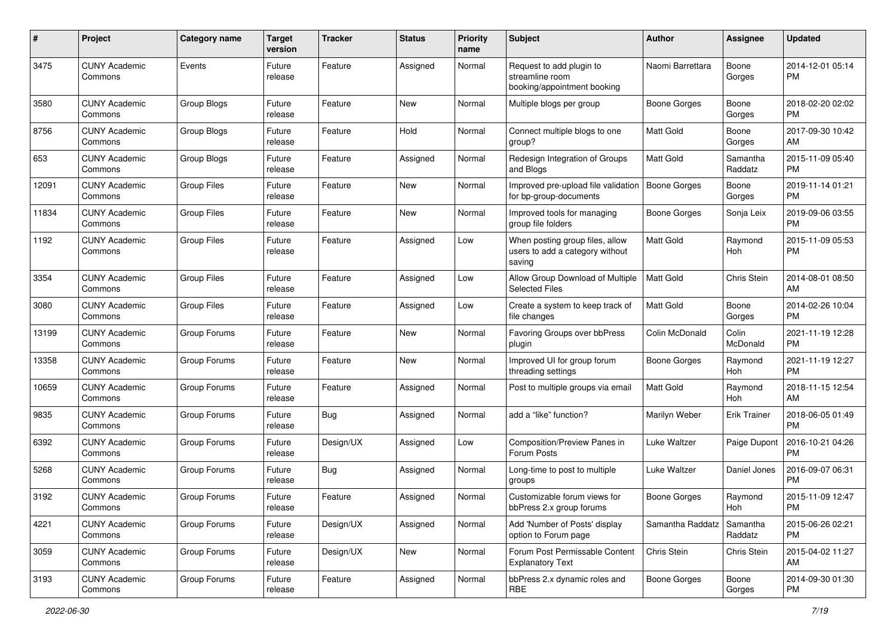| #     | Project                         | Category name      | <b>Target</b><br>version | <b>Tracker</b> | <b>Status</b> | <b>Priority</b><br>name | Subject                                                                      | Author              | <b>Assignee</b>     | <b>Updated</b>                |
|-------|---------------------------------|--------------------|--------------------------|----------------|---------------|-------------------------|------------------------------------------------------------------------------|---------------------|---------------------|-------------------------------|
| 3475  | <b>CUNY Academic</b><br>Commons | Events             | Future<br>release        | Feature        | Assigned      | Normal                  | Request to add plugin to<br>streamline room<br>booking/appointment booking   | Naomi Barrettara    | Boone<br>Gorges     | 2014-12-01 05:14<br>PM        |
| 3580  | <b>CUNY Academic</b><br>Commons | Group Blogs        | Future<br>release        | Feature        | <b>New</b>    | Normal                  | Multiple blogs per group                                                     | <b>Boone Gorges</b> | Boone<br>Gorges     | 2018-02-20 02:02<br><b>PM</b> |
| 8756  | <b>CUNY Academic</b><br>Commons | Group Blogs        | Future<br>release        | Feature        | Hold          | Normal                  | Connect multiple blogs to one<br>group?                                      | <b>Matt Gold</b>    | Boone<br>Gorges     | 2017-09-30 10:42<br>AM        |
| 653   | <b>CUNY Academic</b><br>Commons | Group Blogs        | Future<br>release        | Feature        | Assigned      | Normal                  | Redesign Integration of Groups<br>and Blogs                                  | Matt Gold           | Samantha<br>Raddatz | 2015-11-09 05:40<br><b>PM</b> |
| 12091 | <b>CUNY Academic</b><br>Commons | <b>Group Files</b> | Future<br>release        | Feature        | New           | Normal                  | Improved pre-upload file validation<br>for bp-group-documents                | Boone Gorges        | Boone<br>Gorges     | 2019-11-14 01:21<br><b>PM</b> |
| 11834 | <b>CUNY Academic</b><br>Commons | <b>Group Files</b> | Future<br>release        | Feature        | <b>New</b>    | Normal                  | Improved tools for managing<br>group file folders                            | Boone Gorges        | Sonja Leix          | 2019-09-06 03:55<br><b>PM</b> |
| 1192  | <b>CUNY Academic</b><br>Commons | <b>Group Files</b> | Future<br>release        | Feature        | Assigned      | Low                     | When posting group files, allow<br>users to add a category without<br>saving | <b>Matt Gold</b>    | Raymond<br>Hoh      | 2015-11-09 05:53<br><b>PM</b> |
| 3354  | <b>CUNY Academic</b><br>Commons | <b>Group Files</b> | Future<br>release        | Feature        | Assigned      | Low                     | Allow Group Download of Multiple<br><b>Selected Files</b>                    | Matt Gold           | Chris Stein         | 2014-08-01 08:50<br>AM        |
| 3080  | <b>CUNY Academic</b><br>Commons | <b>Group Files</b> | Future<br>release        | Feature        | Assigned      | Low                     | Create a system to keep track of<br>file changes                             | <b>Matt Gold</b>    | Boone<br>Gorges     | 2014-02-26 10:04<br><b>PM</b> |
| 13199 | <b>CUNY Academic</b><br>Commons | Group Forums       | Future<br>release        | Feature        | <b>New</b>    | Normal                  | Favoring Groups over bbPress<br>plugin                                       | Colin McDonald      | Colin<br>McDonald   | 2021-11-19 12:28<br>PM        |
| 13358 | <b>CUNY Academic</b><br>Commons | Group Forums       | Future<br>release        | Feature        | New           | Normal                  | Improved UI for group forum<br>threading settings                            | Boone Gorges        | Raymond<br>Hoh      | 2021-11-19 12:27<br><b>PM</b> |
| 10659 | <b>CUNY Academic</b><br>Commons | Group Forums       | Future<br>release        | Feature        | Assigned      | Normal                  | Post to multiple groups via email                                            | <b>Matt Gold</b>    | Raymond<br>Hoh      | 2018-11-15 12:54<br>AM        |
| 9835  | <b>CUNY Academic</b><br>Commons | Group Forums       | Future<br>release        | Bug            | Assigned      | Normal                  | add a "like" function?                                                       | Marilyn Weber       | <b>Erik Trainer</b> | 2018-06-05 01:49<br><b>PM</b> |
| 6392  | <b>CUNY Academic</b><br>Commons | Group Forums       | Future<br>release        | Design/UX      | Assigned      | Low                     | Composition/Preview Panes in<br>Forum Posts                                  | Luke Waltzer        | Paige Dupont        | 2016-10-21 04:26<br><b>PM</b> |
| 5268  | <b>CUNY Academic</b><br>Commons | Group Forums       | Future<br>release        | Bug            | Assigned      | Normal                  | Long-time to post to multiple<br>groups                                      | Luke Waltzer        | Daniel Jones        | 2016-09-07 06:31<br><b>PM</b> |
| 3192  | <b>CUNY Academic</b><br>Commons | Group Forums       | Future<br>release        | Feature        | Assigned      | Normal                  | Customizable forum views for<br>bbPress 2.x group forums                     | Boone Gorges        | Raymond<br>Hoh      | 2015-11-09 12:47<br>PM        |
| 4221  | <b>CUNY Academic</b><br>Commons | Group Forums       | Future<br>release        | Design/UX      | Assigned      | Normal                  | Add 'Number of Posts' display<br>option to Forum page                        | Samantha Raddatz    | Samantha<br>Raddatz | 2015-06-26 02:21<br>PM        |
| 3059  | <b>CUNY Academic</b><br>Commons | Group Forums       | Future<br>release        | Design/UX      | New           | Normal                  | Forum Post Permissable Content<br><b>Explanatory Text</b>                    | Chris Stein         | Chris Stein         | 2015-04-02 11:27<br>AM        |
| 3193  | <b>CUNY Academic</b><br>Commons | Group Forums       | Future<br>release        | Feature        | Assigned      | Normal                  | bbPress 2.x dynamic roles and<br><b>RBE</b>                                  | Boone Gorges        | Boone<br>Gorges     | 2014-09-30 01:30<br><b>PM</b> |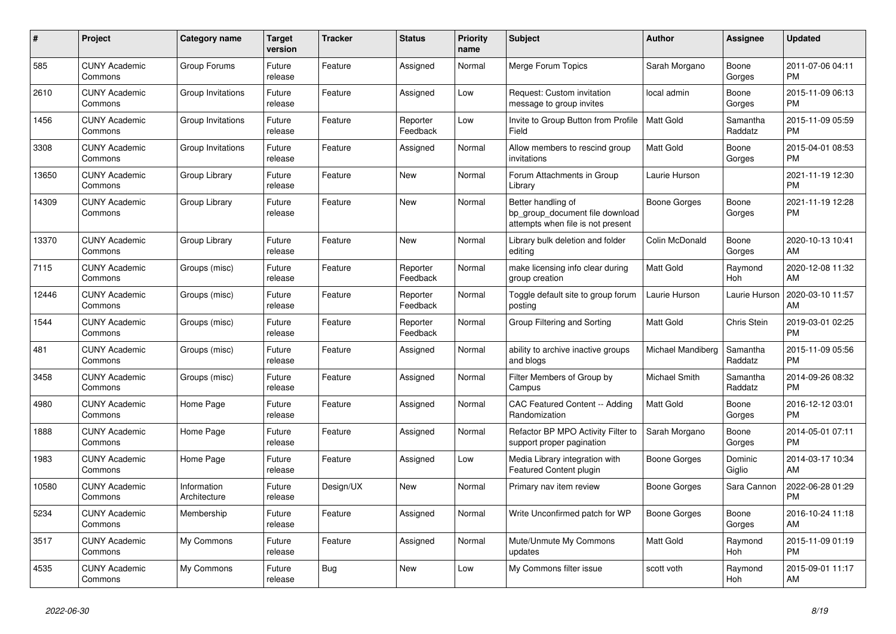| #     | Project                         | <b>Category name</b>        | <b>Target</b><br>version | <b>Tracker</b> | <b>Status</b>        | <b>Priority</b><br>name | <b>Subject</b>                                                                             | <b>Author</b>     | Assignee            | <b>Updated</b>                |
|-------|---------------------------------|-----------------------------|--------------------------|----------------|----------------------|-------------------------|--------------------------------------------------------------------------------------------|-------------------|---------------------|-------------------------------|
| 585   | <b>CUNY Academic</b><br>Commons | Group Forums                | Future<br>release        | Feature        | Assigned             | Normal                  | Merge Forum Topics                                                                         | Sarah Morgano     | Boone<br>Gorges     | 2011-07-06 04:11<br><b>PM</b> |
| 2610  | <b>CUNY Academic</b><br>Commons | Group Invitations           | Future<br>release        | Feature        | Assigned             | Low                     | Request: Custom invitation<br>message to group invites                                     | local admin       | Boone<br>Gorges     | 2015-11-09 06:13<br><b>PM</b> |
| 1456  | <b>CUNY Academic</b><br>Commons | Group Invitations           | Future<br>release        | Feature        | Reporter<br>Feedback | Low                     | Invite to Group Button from Profile<br>Field                                               | <b>Matt Gold</b>  | Samantha<br>Raddatz | 2015-11-09 05:59<br><b>PM</b> |
| 3308  | <b>CUNY Academic</b><br>Commons | Group Invitations           | Future<br>release        | Feature        | Assigned             | Normal                  | Allow members to rescind group<br>invitations                                              | <b>Matt Gold</b>  | Boone<br>Gorges     | 2015-04-01 08:53<br><b>PM</b> |
| 13650 | <b>CUNY Academic</b><br>Commons | Group Library               | Future<br>release        | Feature        | New                  | Normal                  | Forum Attachments in Group<br>Library                                                      | Laurie Hurson     |                     | 2021-11-19 12:30<br><b>PM</b> |
| 14309 | <b>CUNY Academic</b><br>Commons | Group Library               | Future<br>release        | Feature        | New                  | Normal                  | Better handling of<br>bp_group_document file download<br>attempts when file is not present | Boone Gorges      | Boone<br>Gorges     | 2021-11-19 12:28<br><b>PM</b> |
| 13370 | <b>CUNY Academic</b><br>Commons | Group Library               | Future<br>release        | Feature        | <b>New</b>           | Normal                  | Library bulk deletion and folder<br>editing                                                | Colin McDonald    | Boone<br>Gorges     | 2020-10-13 10:41<br>AM        |
| 7115  | <b>CUNY Academic</b><br>Commons | Groups (misc)               | Future<br>release        | Feature        | Reporter<br>Feedback | Normal                  | make licensing info clear during<br>group creation                                         | Matt Gold         | Raymond<br>Hoh      | 2020-12-08 11:32<br>AM        |
| 12446 | <b>CUNY Academic</b><br>Commons | Groups (misc)               | Future<br>release        | Feature        | Reporter<br>Feedback | Normal                  | Toggle default site to group forum<br>posting                                              | Laurie Hurson     | Laurie Hurson       | 2020-03-10 11:57<br>AM        |
| 1544  | <b>CUNY Academic</b><br>Commons | Groups (misc)               | Future<br>release        | Feature        | Reporter<br>Feedback | Normal                  | Group Filtering and Sorting                                                                | <b>Matt Gold</b>  | Chris Stein         | 2019-03-01 02:25<br><b>PM</b> |
| 481   | <b>CUNY Academic</b><br>Commons | Groups (misc)               | Future<br>release        | Feature        | Assigned             | Normal                  | ability to archive inactive groups<br>and blogs                                            | Michael Mandiberg | Samantha<br>Raddatz | 2015-11-09 05:56<br><b>PM</b> |
| 3458  | <b>CUNY Academic</b><br>Commons | Groups (misc)               | Future<br>release        | Feature        | Assigned             | Normal                  | Filter Members of Group by<br>Campus                                                       | Michael Smith     | Samantha<br>Raddatz | 2014-09-26 08:32<br><b>PM</b> |
| 4980  | <b>CUNY Academic</b><br>Commons | Home Page                   | Future<br>release        | Feature        | Assigned             | Normal                  | CAC Featured Content -- Adding<br>Randomization                                            | Matt Gold         | Boone<br>Gorges     | 2016-12-12 03:01<br><b>PM</b> |
| 1888  | <b>CUNY Academic</b><br>Commons | Home Page                   | Future<br>release        | Feature        | Assigned             | Normal                  | Refactor BP MPO Activity Filter to<br>support proper pagination                            | Sarah Morgano     | Boone<br>Gorges     | 2014-05-01 07:11<br><b>PM</b> |
| 1983  | <b>CUNY Academic</b><br>Commons | Home Page                   | Future<br>release        | Feature        | Assigned             | Low                     | Media Library integration with<br><b>Featured Content plugin</b>                           | Boone Gorges      | Dominic<br>Giglio   | 2014-03-17 10:34<br>AM        |
| 10580 | <b>CUNY Academic</b><br>Commons | Information<br>Architecture | Future<br>release        | Design/UX      | New                  | Normal                  | Primary nav item review                                                                    | Boone Gorges      | Sara Cannon         | 2022-06-28 01:29<br><b>PM</b> |
| 5234  | <b>CUNY Academic</b><br>Commons | Membership                  | Future<br>release        | Feature        | Assigned             | Normal                  | Write Unconfirmed patch for WP                                                             | Boone Gorges      | Boone<br>Gorges     | 2016-10-24 11:18<br>AM        |
| 3517  | <b>CUNY Academic</b><br>Commons | My Commons                  | Future<br>release        | Feature        | Assigned             | Normal                  | Mute/Unmute My Commons<br>updates                                                          | <b>Matt Gold</b>  | Raymond<br>Hoh      | 2015-11-09 01:19<br><b>PM</b> |
| 4535  | <b>CUNY Academic</b><br>Commons | My Commons                  | Future<br>release        | <b>Bug</b>     | <b>New</b>           | Low                     | My Commons filter issue                                                                    | scott voth        | Raymond<br>Hoh      | 2015-09-01 11:17<br>AM        |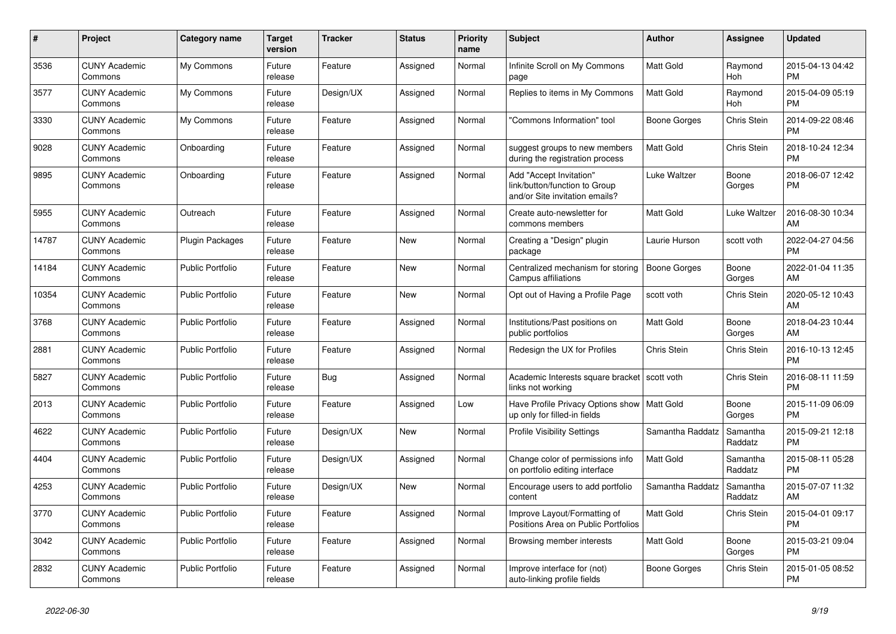| #     | <b>Project</b>                  | Category name           | <b>Target</b><br>version | <b>Tracker</b> | <b>Status</b> | <b>Priority</b><br>name | <b>Subject</b>                                                                             | Author           | Assignee            | <b>Updated</b>                |
|-------|---------------------------------|-------------------------|--------------------------|----------------|---------------|-------------------------|--------------------------------------------------------------------------------------------|------------------|---------------------|-------------------------------|
| 3536  | <b>CUNY Academic</b><br>Commons | My Commons              | Future<br>release        | Feature        | Assigned      | Normal                  | Infinite Scroll on My Commons<br>page                                                      | <b>Matt Gold</b> | Raymond<br>Hoh      | 2015-04-13 04:42<br><b>PM</b> |
| 3577  | <b>CUNY Academic</b><br>Commons | My Commons              | Future<br>release        | Design/UX      | Assigned      | Normal                  | Replies to items in My Commons                                                             | <b>Matt Gold</b> | Raymond<br>Hoh      | 2015-04-09 05:19<br><b>PM</b> |
| 3330  | <b>CUNY Academic</b><br>Commons | My Commons              | Future<br>release        | Feature        | Assigned      | Normal                  | 'Commons Information" tool                                                                 | Boone Gorges     | Chris Stein         | 2014-09-22 08:46<br><b>PM</b> |
| 9028  | <b>CUNY Academic</b><br>Commons | Onboarding              | Future<br>release        | Feature        | Assigned      | Normal                  | suggest groups to new members<br>during the registration process                           | <b>Matt Gold</b> | Chris Stein         | 2018-10-24 12:34<br><b>PM</b> |
| 9895  | <b>CUNY Academic</b><br>Commons | Onboarding              | Future<br>release        | Feature        | Assigned      | Normal                  | Add "Accept Invitation"<br>link/button/function to Group<br>and/or Site invitation emails? | Luke Waltzer     | Boone<br>Gorges     | 2018-06-07 12:42<br><b>PM</b> |
| 5955  | <b>CUNY Academic</b><br>Commons | Outreach                | Future<br>release        | Feature        | Assigned      | Normal                  | Create auto-newsletter for<br>commons members                                              | <b>Matt Gold</b> | Luke Waltzer        | 2016-08-30 10:34<br>AM        |
| 14787 | <b>CUNY Academic</b><br>Commons | Plugin Packages         | Future<br>release        | Feature        | <b>New</b>    | Normal                  | Creating a "Design" plugin<br>package                                                      | Laurie Hurson    | scott voth          | 2022-04-27 04:56<br><b>PM</b> |
| 14184 | <b>CUNY Academic</b><br>Commons | <b>Public Portfolio</b> | Future<br>release        | Feature        | <b>New</b>    | Normal                  | Centralized mechanism for storing<br>Campus affiliations                                   | Boone Gorges     | Boone<br>Gorges     | 2022-01-04 11:35<br>AM        |
| 10354 | <b>CUNY Academic</b><br>Commons | <b>Public Portfolio</b> | Future<br>release        | Feature        | New           | Normal                  | Opt out of Having a Profile Page                                                           | scott voth       | Chris Stein         | 2020-05-12 10:43<br>AM        |
| 3768  | <b>CUNY Academic</b><br>Commons | <b>Public Portfolio</b> | Future<br>release        | Feature        | Assigned      | Normal                  | Institutions/Past positions on<br>public portfolios                                        | <b>Matt Gold</b> | Boone<br>Gorges     | 2018-04-23 10:44<br>AM        |
| 2881  | <b>CUNY Academic</b><br>Commons | <b>Public Portfolio</b> | Future<br>release        | Feature        | Assigned      | Normal                  | Redesign the UX for Profiles                                                               | Chris Stein      | Chris Stein         | 2016-10-13 12:45<br><b>PM</b> |
| 5827  | <b>CUNY Academic</b><br>Commons | <b>Public Portfolio</b> | Future<br>release        | Bug            | Assigned      | Normal                  | Academic Interests square bracket   scott voth<br>links not working                        |                  | Chris Stein         | 2016-08-11 11:59<br><b>PM</b> |
| 2013  | <b>CUNY Academic</b><br>Commons | Public Portfolio        | Future<br>release        | Feature        | Assigned      | Low                     | Have Profile Privacy Options show   Matt Gold<br>up only for filled-in fields              |                  | Boone<br>Gorges     | 2015-11-09 06:09<br><b>PM</b> |
| 4622  | <b>CUNY Academic</b><br>Commons | <b>Public Portfolio</b> | Future<br>release        | Design/UX      | <b>New</b>    | Normal                  | <b>Profile Visibility Settings</b>                                                         | Samantha Raddatz | Samantha<br>Raddatz | 2015-09-21 12:18<br><b>PM</b> |
| 4404  | <b>CUNY Academic</b><br>Commons | <b>Public Portfolio</b> | Future<br>release        | Design/UX      | Assigned      | Normal                  | Change color of permissions info<br>on portfolio editing interface                         | <b>Matt Gold</b> | Samantha<br>Raddatz | 2015-08-11 05:28<br><b>PM</b> |
| 4253  | <b>CUNY Academic</b><br>Commons | Public Portfolio        | Future<br>release        | Design/UX      | <b>New</b>    | Normal                  | Encourage users to add portfolio<br>content                                                | Samantha Raddatz | Samantha<br>Raddatz | 2015-07-07 11:32<br>AM        |
| 3770  | <b>CUNY Academic</b><br>Commons | <b>Public Portfolio</b> | Future<br>release        | Feature        | Assigned      | Normal                  | Improve Layout/Formatting of<br>Positions Area on Public Portfolios                        | <b>Matt Gold</b> | Chris Stein         | 2015-04-01 09:17<br><b>PM</b> |
| 3042  | <b>CUNY Academic</b><br>Commons | <b>Public Portfolio</b> | Future<br>release        | Feature        | Assigned      | Normal                  | Browsing member interests                                                                  | Matt Gold        | Boone<br>Gorges     | 2015-03-21 09:04<br><b>PM</b> |
| 2832  | <b>CUNY Academic</b><br>Commons | Public Portfolio        | Future<br>release        | Feature        | Assigned      | Normal                  | Improve interface for (not)<br>auto-linking profile fields                                 | Boone Gorges     | Chris Stein         | 2015-01-05 08:52<br><b>PM</b> |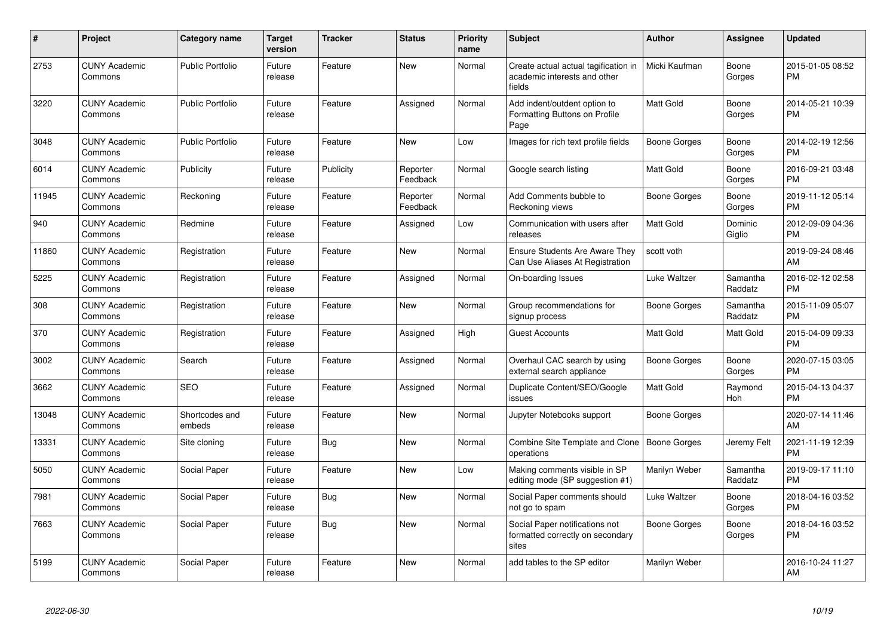| #     | Project                         | <b>Category name</b>     | <b>Target</b><br>version | <b>Tracker</b> | <b>Status</b>        | <b>Priority</b><br>name | <b>Subject</b>                                                                 | <b>Author</b>    | <b>Assignee</b>     | <b>Updated</b>                |
|-------|---------------------------------|--------------------------|--------------------------|----------------|----------------------|-------------------------|--------------------------------------------------------------------------------|------------------|---------------------|-------------------------------|
| 2753  | <b>CUNY Academic</b><br>Commons | <b>Public Portfolio</b>  | Future<br>release        | Feature        | <b>New</b>           | Normal                  | Create actual actual tagification in<br>academic interests and other<br>fields | Micki Kaufman    | Boone<br>Gorges     | 2015-01-05 08:52<br><b>PM</b> |
| 3220  | <b>CUNY Academic</b><br>Commons | <b>Public Portfolio</b>  | Future<br>release        | Feature        | Assigned             | Normal                  | Add indent/outdent option to<br>Formatting Buttons on Profile<br>Page          | <b>Matt Gold</b> | Boone<br>Gorges     | 2014-05-21 10:39<br><b>PM</b> |
| 3048  | <b>CUNY Academic</b><br>Commons | Public Portfolio         | Future<br>release        | Feature        | <b>New</b>           | Low                     | Images for rich text profile fields                                            | Boone Gorges     | Boone<br>Gorges     | 2014-02-19 12:56<br><b>PM</b> |
| 6014  | <b>CUNY Academic</b><br>Commons | Publicity                | Future<br>release        | Publicity      | Reporter<br>Feedback | Normal                  | Google search listing                                                          | <b>Matt Gold</b> | Boone<br>Gorges     | 2016-09-21 03:48<br><b>PM</b> |
| 11945 | <b>CUNY Academic</b><br>Commons | Reckoning                | Future<br>release        | Feature        | Reporter<br>Feedback | Normal                  | Add Comments bubble to<br>Reckoning views                                      | Boone Gorges     | Boone<br>Gorges     | 2019-11-12 05:14<br><b>PM</b> |
| 940   | <b>CUNY Academic</b><br>Commons | Redmine                  | Future<br>release        | Feature        | Assigned             | Low                     | Communication with users after<br>releases                                     | <b>Matt Gold</b> | Dominic<br>Giglio   | 2012-09-09 04:36<br><b>PM</b> |
| 11860 | <b>CUNY Academic</b><br>Commons | Registration             | Future<br>release        | Feature        | New                  | Normal                  | <b>Ensure Students Are Aware They</b><br>Can Use Aliases At Registration       | scott voth       |                     | 2019-09-24 08:46<br>AM        |
| 5225  | <b>CUNY Academic</b><br>Commons | Registration             | Future<br>release        | Feature        | Assigned             | Normal                  | On-boarding Issues                                                             | Luke Waltzer     | Samantha<br>Raddatz | 2016-02-12 02:58<br><b>PM</b> |
| 308   | <b>CUNY Academic</b><br>Commons | Registration             | Future<br>release        | Feature        | <b>New</b>           | Normal                  | Group recommendations for<br>signup process                                    | Boone Gorges     | Samantha<br>Raddatz | 2015-11-09 05:07<br><b>PM</b> |
| 370   | <b>CUNY Academic</b><br>Commons | Registration             | Future<br>release        | Feature        | Assigned             | High                    | <b>Guest Accounts</b>                                                          | <b>Matt Gold</b> | Matt Gold           | 2015-04-09 09:33<br><b>PM</b> |
| 3002  | <b>CUNY Academic</b><br>Commons | Search                   | Future<br>release        | Feature        | Assigned             | Normal                  | Overhaul CAC search by using<br>external search appliance                      | Boone Gorges     | Boone<br>Gorges     | 2020-07-15 03:05<br><b>PM</b> |
| 3662  | <b>CUNY Academic</b><br>Commons | <b>SEO</b>               | Future<br>release        | Feature        | Assigned             | Normal                  | Duplicate Content/SEO/Google<br>issues                                         | Matt Gold        | Raymond<br>Hoh      | 2015-04-13 04:37<br><b>PM</b> |
| 13048 | <b>CUNY Academic</b><br>Commons | Shortcodes and<br>embeds | Future<br>release        | Feature        | New                  | Normal                  | Jupyter Notebooks support                                                      | Boone Gorges     |                     | 2020-07-14 11:46<br>AM        |
| 13331 | <b>CUNY Academic</b><br>Commons | Site cloning             | Future<br>release        | Bug            | New                  | Normal                  | Combine Site Template and Clone   Boone Gorges<br>operations                   |                  | Jeremy Felt         | 2021-11-19 12:39<br><b>PM</b> |
| 5050  | <b>CUNY Academic</b><br>Commons | Social Paper             | Future<br>release        | Feature        | <b>New</b>           | Low                     | Making comments visible in SP<br>editing mode (SP suggestion #1)               | Marilyn Weber    | Samantha<br>Raddatz | 2019-09-17 11:10<br><b>PM</b> |
| 7981  | <b>CUNY Academic</b><br>Commons | Social Paper             | Future<br>release        | Bug            | <b>New</b>           | Normal                  | Social Paper comments should<br>not go to spam                                 | Luke Waltzer     | Boone<br>Gorges     | 2018-04-16 03:52<br><b>PM</b> |
| 7663  | <b>CUNY Academic</b><br>Commons | Social Paper             | Future<br>release        | Bug            | <b>New</b>           | Normal                  | Social Paper notifications not<br>formatted correctly on secondary<br>sites    | Boone Gorges     | Boone<br>Gorges     | 2018-04-16 03:52<br><b>PM</b> |
| 5199  | <b>CUNY Academic</b><br>Commons | Social Paper             | Future<br>release        | Feature        | New                  | Normal                  | add tables to the SP editor                                                    | Marilyn Weber    |                     | 2016-10-24 11:27<br>AM        |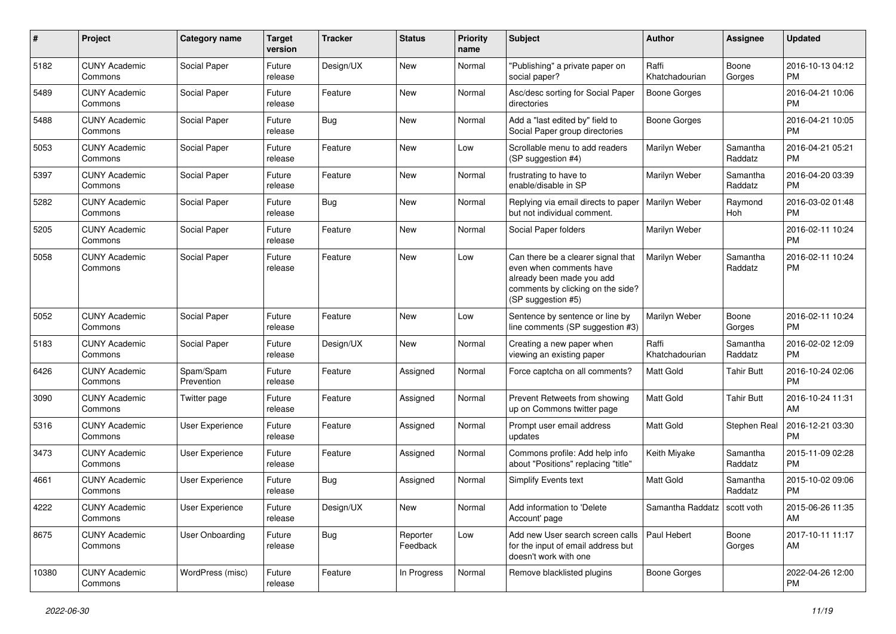| #     | Project                         | <b>Category name</b>    | <b>Target</b><br>version | <b>Tracker</b> | <b>Status</b>        | <b>Priority</b><br>name | <b>Subject</b>                                                                                                                                        | <b>Author</b>                 | Assignee            | <b>Updated</b>                |
|-------|---------------------------------|-------------------------|--------------------------|----------------|----------------------|-------------------------|-------------------------------------------------------------------------------------------------------------------------------------------------------|-------------------------------|---------------------|-------------------------------|
| 5182  | <b>CUNY Academic</b><br>Commons | Social Paper            | Future<br>release        | Design/UX      | New                  | Normal                  | "Publishing" a private paper on<br>social paper?                                                                                                      | Raffi<br>Khatchadourian       | Boone<br>Gorges     | 2016-10-13 04:12<br>PM.       |
| 5489  | <b>CUNY Academic</b><br>Commons | Social Paper            | Future<br>release        | Feature        | New                  | Normal                  | Asc/desc sorting for Social Paper<br>directories                                                                                                      | <b>Boone Gorges</b>           |                     | 2016-04-21 10:06<br><b>PM</b> |
| 5488  | <b>CUNY Academic</b><br>Commons | Social Paper            | Future<br>release        | Bug            | New                  | Normal                  | Add a "last edited by" field to<br>Social Paper group directories                                                                                     | Boone Gorges                  |                     | 2016-04-21 10:05<br><b>PM</b> |
| 5053  | <b>CUNY Academic</b><br>Commons | Social Paper            | Future<br>release        | Feature        | New                  | Low                     | Scrollable menu to add readers<br>(SP suggestion #4)                                                                                                  | Marilyn Weber                 | Samantha<br>Raddatz | 2016-04-21 05:21<br><b>PM</b> |
| 5397  | <b>CUNY Academic</b><br>Commons | Social Paper            | Future<br>release        | Feature        | New                  | Normal                  | frustrating to have to<br>enable/disable in SP                                                                                                        | Marilyn Weber                 | Samantha<br>Raddatz | 2016-04-20 03:39<br><b>PM</b> |
| 5282  | <b>CUNY Academic</b><br>Commons | Social Paper            | Future<br>release        | Bug            | New                  | Normal                  | Replying via email directs to paper<br>but not individual comment.                                                                                    | Marilyn Weber                 | Raymond<br>Hoh      | 2016-03-02 01:48<br><b>PM</b> |
| 5205  | <b>CUNY Academic</b><br>Commons | Social Paper            | Future<br>release        | Feature        | <b>New</b>           | Normal                  | Social Paper folders                                                                                                                                  | Marilyn Weber                 |                     | 2016-02-11 10:24<br><b>PM</b> |
| 5058  | <b>CUNY Academic</b><br>Commons | Social Paper            | Future<br>release        | Feature        | New                  | Low                     | Can there be a clearer signal that<br>even when comments have<br>already been made you add<br>comments by clicking on the side?<br>(SP suggestion #5) | <b>Marilyn Weber</b>          | Samantha<br>Raddatz | 2016-02-11 10:24<br><b>PM</b> |
| 5052  | <b>CUNY Academic</b><br>Commons | Social Paper            | Future<br>release        | Feature        | New                  | Low                     | Sentence by sentence or line by<br>line comments (SP suggestion #3)                                                                                   | Marilyn Weber                 | Boone<br>Gorges     | 2016-02-11 10:24<br><b>PM</b> |
| 5183  | <b>CUNY Academic</b><br>Commons | Social Paper            | Future<br>release        | Design/UX      | New                  | Normal                  | Creating a new paper when<br>viewing an existing paper                                                                                                | Raffi<br>Khatchadourian       | Samantha<br>Raddatz | 2016-02-02 12:09<br><b>PM</b> |
| 6426  | <b>CUNY Academic</b><br>Commons | Spam/Spam<br>Prevention | Future<br>release        | Feature        | Assigned             | Normal                  | Force captcha on all comments?                                                                                                                        | <b>Matt Gold</b>              | <b>Tahir Butt</b>   | 2016-10-24 02:06<br><b>PM</b> |
| 3090  | <b>CUNY Academic</b><br>Commons | Twitter page            | Future<br>release        | Feature        | Assigned             | Normal                  | Prevent Retweets from showing<br>up on Commons twitter page                                                                                           | <b>Matt Gold</b>              | <b>Tahir Butt</b>   | 2016-10-24 11:31<br>AM        |
| 5316  | <b>CUNY Academic</b><br>Commons | User Experience         | Future<br>release        | Feature        | Assigned             | Normal                  | Prompt user email address<br>updates                                                                                                                  | <b>Matt Gold</b>              | Stephen Real        | 2016-12-21 03:30<br><b>PM</b> |
| 3473  | <b>CUNY Academic</b><br>Commons | User Experience         | Future<br>release        | Feature        | Assigned             | Normal                  | Commons profile: Add help info<br>about "Positions" replacing "title"                                                                                 | Keith Miyake                  | Samantha<br>Raddatz | 2015-11-09 02:28<br><b>PM</b> |
| 4661  | <b>CUNY Academic</b><br>Commons | User Experience         | Future<br>release        | Bug            | Assigned             | Normal                  | Simplify Events text                                                                                                                                  | <b>Matt Gold</b>              | Samantha<br>Raddatz | 2015-10-02 09:06<br><b>PM</b> |
| 4222  | <b>CUNY Academic</b><br>Commons | User Experience         | Future<br>release        | Design/UX      | New                  | Normal                  | Add information to 'Delete<br>Account' page                                                                                                           | Samantha Raddatz   scott voth |                     | 2015-06-26 11:35<br>AM        |
| 8675  | <b>CUNY Academic</b><br>Commons | User Onboarding         | Future<br>release        | Bug            | Reporter<br>Feedback | Low                     | Add new User search screen calls<br>for the input of email address but<br>doesn't work with one                                                       | Paul Hebert                   | Boone<br>Gorges     | 2017-10-11 11:17<br>AM        |
| 10380 | <b>CUNY Academic</b><br>Commons | WordPress (misc)        | Future<br>release        | Feature        | In Progress          | Normal                  | Remove blacklisted plugins                                                                                                                            | <b>Boone Gorges</b>           |                     | 2022-04-26 12:00<br><b>PM</b> |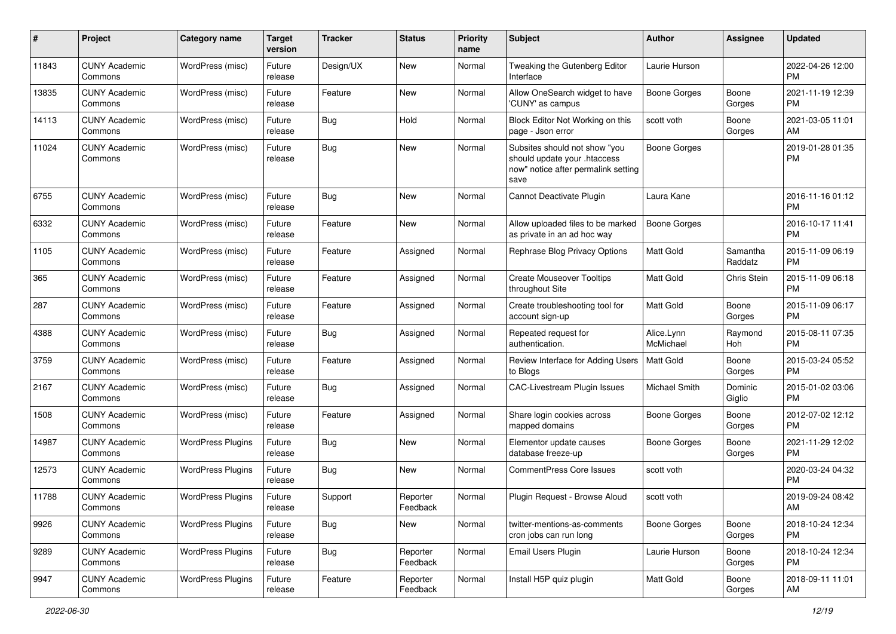| #     | Project                         | <b>Category name</b>     | <b>Target</b><br>version | <b>Tracker</b> | <b>Status</b>        | <b>Priority</b><br>name | Subject                                                                                                      | Author                  | <b>Assignee</b>     | <b>Updated</b>                |
|-------|---------------------------------|--------------------------|--------------------------|----------------|----------------------|-------------------------|--------------------------------------------------------------------------------------------------------------|-------------------------|---------------------|-------------------------------|
| 11843 | <b>CUNY Academic</b><br>Commons | WordPress (misc)         | Future<br>release        | Design/UX      | <b>New</b>           | Normal                  | Tweaking the Gutenberg Editor<br>Interface                                                                   | Laurie Hurson           |                     | 2022-04-26 12:00<br><b>PM</b> |
| 13835 | <b>CUNY Academic</b><br>Commons | WordPress (misc)         | Future<br>release        | Feature        | New                  | Normal                  | Allow OneSearch widget to have<br>'CUNY' as campus                                                           | <b>Boone Gorges</b>     | Boone<br>Gorges     | 2021-11-19 12:39<br><b>PM</b> |
| 14113 | <b>CUNY Academic</b><br>Commons | WordPress (misc)         | Future<br>release        | Bug            | Hold                 | Normal                  | Block Editor Not Working on this<br>page - Json error                                                        | scott voth              | Boone<br>Gorges     | 2021-03-05 11:01<br>AM        |
| 11024 | <b>CUNY Academic</b><br>Commons | WordPress (misc)         | Future<br>release        | Bug            | <b>New</b>           | Normal                  | Subsites should not show "you<br>should update your .htaccess<br>now" notice after permalink setting<br>save | Boone Gorges            |                     | 2019-01-28 01:35<br><b>PM</b> |
| 6755  | <b>CUNY Academic</b><br>Commons | WordPress (misc)         | Future<br>release        | Bug            | <b>New</b>           | Normal                  | Cannot Deactivate Plugin                                                                                     | Laura Kane              |                     | 2016-11-16 01:12<br><b>PM</b> |
| 6332  | <b>CUNY Academic</b><br>Commons | WordPress (misc)         | Future<br>release        | Feature        | <b>New</b>           | Normal                  | Allow uploaded files to be marked<br>as private in an ad hoc way                                             | Boone Gorges            |                     | 2016-10-17 11:41<br><b>PM</b> |
| 1105  | <b>CUNY Academic</b><br>Commons | WordPress (misc)         | Future<br>release        | Feature        | Assigned             | Normal                  | Rephrase Blog Privacy Options                                                                                | <b>Matt Gold</b>        | Samantha<br>Raddatz | 2015-11-09 06:19<br><b>PM</b> |
| 365   | <b>CUNY Academic</b><br>Commons | WordPress (misc)         | Future<br>release        | Feature        | Assigned             | Normal                  | <b>Create Mouseover Tooltips</b><br>throughout Site                                                          | Matt Gold               | Chris Stein         | 2015-11-09 06:18<br><b>PM</b> |
| 287   | <b>CUNY Academic</b><br>Commons | WordPress (misc)         | Future<br>release        | Feature        | Assigned             | Normal                  | Create troubleshooting tool for<br>account sign-up                                                           | Matt Gold               | Boone<br>Gorges     | 2015-11-09 06:17<br><b>PM</b> |
| 4388  | <b>CUNY Academic</b><br>Commons | WordPress (misc)         | Future<br>release        | Bug            | Assigned             | Normal                  | Repeated request for<br>authentication.                                                                      | Alice.Lynn<br>McMichael | Raymond<br>Hoh      | 2015-08-11 07:35<br><b>PM</b> |
| 3759  | <b>CUNY Academic</b><br>Commons | WordPress (misc)         | Future<br>release        | Feature        | Assigned             | Normal                  | Review Interface for Adding Users<br>to Blogs                                                                | <b>Matt Gold</b>        | Boone<br>Gorges     | 2015-03-24 05:52<br><b>PM</b> |
| 2167  | <b>CUNY Academic</b><br>Commons | WordPress (misc)         | Future<br>release        | Bug            | Assigned             | Normal                  | CAC-Livestream Plugin Issues                                                                                 | Michael Smith           | Dominic<br>Giglio   | 2015-01-02 03:06<br><b>PM</b> |
| 1508  | <b>CUNY Academic</b><br>Commons | WordPress (misc)         | Future<br>release        | Feature        | Assigned             | Normal                  | Share login cookies across<br>mapped domains                                                                 | Boone Gorges            | Boone<br>Gorges     | 2012-07-02 12:12<br><b>PM</b> |
| 14987 | <b>CUNY Academic</b><br>Commons | <b>WordPress Plugins</b> | Future<br>release        | Bug            | <b>New</b>           | Normal                  | Elementor update causes<br>database freeze-up                                                                | <b>Boone Gorges</b>     | Boone<br>Gorges     | 2021-11-29 12:02<br><b>PM</b> |
| 12573 | <b>CUNY Academic</b><br>Commons | <b>WordPress Plugins</b> | Future<br>release        | Bug            | New                  | Normal                  | <b>CommentPress Core Issues</b>                                                                              | scott voth              |                     | 2020-03-24 04:32<br><b>PM</b> |
| 11788 | <b>CUNY Academic</b><br>Commons | <b>WordPress Plugins</b> | Future<br>release        | Support        | Reporter<br>Feedback | Normal                  | Plugin Request - Browse Aloud                                                                                | scott voth              |                     | 2019-09-24 08:42<br>AM        |
| 9926  | <b>CUNY Academic</b><br>Commons | <b>WordPress Plugins</b> | Future<br>release        | Bug            | New                  | Normal                  | twitter-mentions-as-comments<br>cron jobs can run long                                                       | <b>Boone Gorges</b>     | Boone<br>Gorges     | 2018-10-24 12:34<br>PM        |
| 9289  | <b>CUNY Academic</b><br>Commons | <b>WordPress Plugins</b> | Future<br>release        | <b>Bug</b>     | Reporter<br>Feedback | Normal                  | Email Users Plugin                                                                                           | Laurie Hurson           | Boone<br>Gorges     | 2018-10-24 12:34<br><b>PM</b> |
| 9947  | <b>CUNY Academic</b><br>Commons | <b>WordPress Plugins</b> | Future<br>release        | Feature        | Reporter<br>Feedback | Normal                  | Install H5P quiz plugin                                                                                      | Matt Gold               | Boone<br>Gorges     | 2018-09-11 11:01<br>AM        |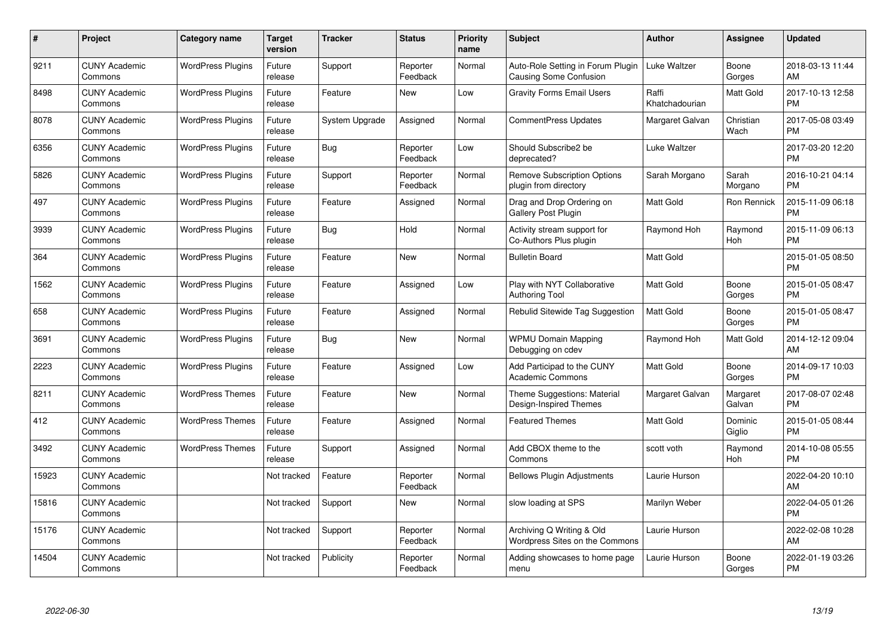| $\#$  | Project                         | <b>Category name</b>     | <b>Target</b><br>version | <b>Tracker</b> | <b>Status</b>        | <b>Priority</b><br>name | <b>Subject</b>                                              | <b>Author</b>           | <b>Assignee</b>    | <b>Updated</b>                |
|-------|---------------------------------|--------------------------|--------------------------|----------------|----------------------|-------------------------|-------------------------------------------------------------|-------------------------|--------------------|-------------------------------|
| 9211  | <b>CUNY Academic</b><br>Commons | <b>WordPress Plugins</b> | Future<br>release        | Support        | Reporter<br>Feedback | Normal                  | Auto-Role Setting in Forum Plugin<br>Causing Some Confusion | Luke Waltzer            | Boone<br>Gorges    | 2018-03-13 11:44<br>AM        |
| 8498  | <b>CUNY Academic</b><br>Commons | <b>WordPress Plugins</b> | Future<br>release        | Feature        | <b>New</b>           | Low                     | <b>Gravity Forms Email Users</b>                            | Raffi<br>Khatchadourian | Matt Gold          | 2017-10-13 12:58<br><b>PM</b> |
| 8078  | <b>CUNY Academic</b><br>Commons | <b>WordPress Plugins</b> | Future<br>release        | System Upgrade | Assigned             | Normal                  | CommentPress Updates                                        | Margaret Galvan         | Christian<br>Wach  | 2017-05-08 03:49<br><b>PM</b> |
| 6356  | <b>CUNY Academic</b><br>Commons | <b>WordPress Plugins</b> | Future<br>release        | Bug            | Reporter<br>Feedback | Low                     | Should Subscribe2 be<br>deprecated?                         | Luke Waltzer            |                    | 2017-03-20 12:20<br><b>PM</b> |
| 5826  | <b>CUNY Academic</b><br>Commons | <b>WordPress Plugins</b> | Future<br>release        | Support        | Reporter<br>Feedback | Normal                  | <b>Remove Subscription Options</b><br>plugin from directory | Sarah Morgano           | Sarah<br>Morgano   | 2016-10-21 04:14<br><b>PM</b> |
| 497   | <b>CUNY Academic</b><br>Commons | <b>WordPress Plugins</b> | Future<br>release        | Feature        | Assigned             | Normal                  | Drag and Drop Ordering on<br><b>Gallery Post Plugin</b>     | <b>Matt Gold</b>        | Ron Rennick        | 2015-11-09 06:18<br><b>PM</b> |
| 3939  | <b>CUNY Academic</b><br>Commons | <b>WordPress Plugins</b> | Future<br>release        | Bug            | Hold                 | Normal                  | Activity stream support for<br>Co-Authors Plus plugin       | Raymond Hoh             | Raymond<br>Hoh     | 2015-11-09 06:13<br><b>PM</b> |
| 364   | <b>CUNY Academic</b><br>Commons | <b>WordPress Plugins</b> | Future<br>release        | Feature        | <b>New</b>           | Normal                  | <b>Bulletin Board</b>                                       | <b>Matt Gold</b>        |                    | 2015-01-05 08:50<br><b>PM</b> |
| 1562  | <b>CUNY Academic</b><br>Commons | <b>WordPress Plugins</b> | Future<br>release        | Feature        | Assigned             | Low                     | Play with NYT Collaborative<br><b>Authoring Tool</b>        | Matt Gold               | Boone<br>Gorges    | 2015-01-05 08:47<br><b>PM</b> |
| 658   | <b>CUNY Academic</b><br>Commons | <b>WordPress Plugins</b> | Future<br>release        | Feature        | Assigned             | Normal                  | Rebulid Sitewide Tag Suggestion                             | <b>Matt Gold</b>        | Boone<br>Gorges    | 2015-01-05 08:47<br><b>PM</b> |
| 3691  | <b>CUNY Academic</b><br>Commons | <b>WordPress Plugins</b> | Future<br>release        | Bug            | New                  | Normal                  | <b>WPMU Domain Mapping</b><br>Debugging on cdev             | Raymond Hoh             | Matt Gold          | 2014-12-12 09:04<br>AM        |
| 2223  | <b>CUNY Academic</b><br>Commons | <b>WordPress Plugins</b> | Future<br>release        | Feature        | Assigned             | Low                     | Add Participad to the CUNY<br><b>Academic Commons</b>       | Matt Gold               | Boone<br>Gorges    | 2014-09-17 10:03<br><b>PM</b> |
| 8211  | <b>CUNY Academic</b><br>Commons | <b>WordPress Themes</b>  | Future<br>release        | Feature        | New                  | Normal                  | Theme Suggestions: Material<br>Design-Inspired Themes       | Margaret Galvan         | Margaret<br>Galvan | 2017-08-07 02:48<br><b>PM</b> |
| 412   | <b>CUNY Academic</b><br>Commons | <b>WordPress Themes</b>  | Future<br>release        | Feature        | Assigned             | Normal                  | <b>Featured Themes</b>                                      | Matt Gold               | Dominic<br>Giglio  | 2015-01-05 08:44<br><b>PM</b> |
| 3492  | <b>CUNY Academic</b><br>Commons | <b>WordPress Themes</b>  | Future<br>release        | Support        | Assigned             | Normal                  | Add CBOX theme to the<br>Commons                            | scott voth              | Raymond<br>Hoh     | 2014-10-08 05:55<br><b>PM</b> |
| 15923 | <b>CUNY Academic</b><br>Commons |                          | Not tracked              | Feature        | Reporter<br>Feedback | Normal                  | <b>Bellows Plugin Adjustments</b>                           | Laurie Hurson           |                    | 2022-04-20 10:10<br>AM        |
| 15816 | <b>CUNY Academic</b><br>Commons |                          | Not tracked              | Support        | New                  | Normal                  | slow loading at SPS                                         | Marilyn Weber           |                    | 2022-04-05 01:26<br><b>PM</b> |
| 15176 | <b>CUNY Academic</b><br>Commons |                          | Not tracked              | Support        | Reporter<br>Feedback | Normal                  | Archiving Q Writing & Old<br>Wordpress Sites on the Commons | Laurie Hurson           |                    | 2022-02-08 10:28<br>AM        |
| 14504 | CUNY Academic<br>Commons        |                          | Not tracked              | Publicity      | Reporter<br>Feedback | Normal                  | Adding showcases to home page<br>menu                       | Laurie Hurson           | Boone<br>Gorges    | 2022-01-19 03:26<br><b>PM</b> |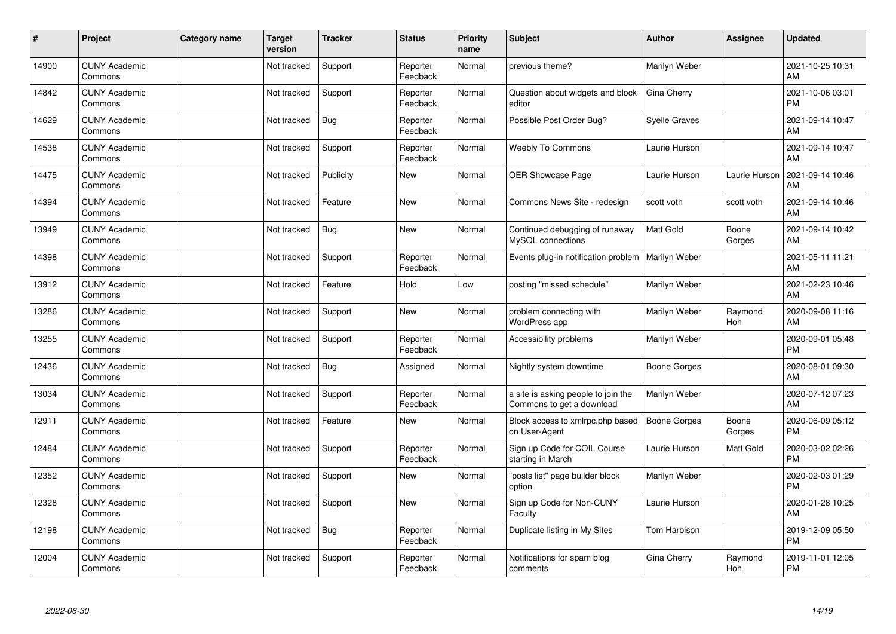| #     | Project                         | <b>Category name</b> | <b>Target</b><br>version | <b>Tracker</b> | <b>Status</b>        | <b>Priority</b><br>name | <b>Subject</b>                                                   | <b>Author</b>        | Assignee        | <b>Updated</b>                |
|-------|---------------------------------|----------------------|--------------------------|----------------|----------------------|-------------------------|------------------------------------------------------------------|----------------------|-----------------|-------------------------------|
| 14900 | <b>CUNY Academic</b><br>Commons |                      | Not tracked              | Support        | Reporter<br>Feedback | Normal                  | previous theme?                                                  | Marilyn Weber        |                 | 2021-10-25 10:31<br>AM        |
| 14842 | <b>CUNY Academic</b><br>Commons |                      | Not tracked              | Support        | Reporter<br>Feedback | Normal                  | Question about widgets and block<br>editor                       | Gina Cherry          |                 | 2021-10-06 03:01<br><b>PM</b> |
| 14629 | <b>CUNY Academic</b><br>Commons |                      | Not tracked              | Bug            | Reporter<br>Feedback | Normal                  | Possible Post Order Bug?                                         | <b>Syelle Graves</b> |                 | 2021-09-14 10:47<br>AM        |
| 14538 | <b>CUNY Academic</b><br>Commons |                      | Not tracked              | Support        | Reporter<br>Feedback | Normal                  | <b>Weebly To Commons</b>                                         | Laurie Hurson        |                 | 2021-09-14 10:47<br>AM        |
| 14475 | <b>CUNY Academic</b><br>Commons |                      | Not tracked              | Publicity      | <b>New</b>           | Normal                  | <b>OER Showcase Page</b>                                         | Laurie Hurson        | Laurie Hurson   | 2021-09-14 10:46<br>AM        |
| 14394 | <b>CUNY Academic</b><br>Commons |                      | Not tracked              | Feature        | <b>New</b>           | Normal                  | Commons News Site - redesign                                     | scott voth           | scott voth      | 2021-09-14 10:46<br>AM        |
| 13949 | <b>CUNY Academic</b><br>Commons |                      | Not tracked              | <b>Bug</b>     | <b>New</b>           | Normal                  | Continued debugging of runaway<br>MySQL connections              | Matt Gold            | Boone<br>Gorges | 2021-09-14 10:42<br>AM        |
| 14398 | <b>CUNY Academic</b><br>Commons |                      | Not tracked              | Support        | Reporter<br>Feedback | Normal                  | Events plug-in notification problem                              | Marilyn Weber        |                 | 2021-05-11 11:21<br>AM        |
| 13912 | <b>CUNY Academic</b><br>Commons |                      | Not tracked              | Feature        | Hold                 | Low                     | posting "missed schedule"                                        | Marilyn Weber        |                 | 2021-02-23 10:46<br>AM        |
| 13286 | <b>CUNY Academic</b><br>Commons |                      | Not tracked              | Support        | <b>New</b>           | Normal                  | problem connecting with<br>WordPress app                         | Marilyn Weber        | Raymond<br>Hoh  | 2020-09-08 11:16<br>AM        |
| 13255 | <b>CUNY Academic</b><br>Commons |                      | Not tracked              | Support        | Reporter<br>Feedback | Normal                  | Accessibility problems                                           | Marilyn Weber        |                 | 2020-09-01 05:48<br><b>PM</b> |
| 12436 | <b>CUNY Academic</b><br>Commons |                      | Not tracked              | Bug            | Assigned             | Normal                  | Nightly system downtime                                          | Boone Gorges         |                 | 2020-08-01 09:30<br>AM        |
| 13034 | <b>CUNY Academic</b><br>Commons |                      | Not tracked              | Support        | Reporter<br>Feedback | Normal                  | a site is asking people to join the<br>Commons to get a download | Marilyn Weber        |                 | 2020-07-12 07:23<br>AM        |
| 12911 | <b>CUNY Academic</b><br>Commons |                      | Not tracked              | Feature        | <b>New</b>           | Normal                  | Block access to xmlrpc.php based<br>on User-Agent                | <b>Boone Gorges</b>  | Boone<br>Gorges | 2020-06-09 05:12<br>PM        |
| 12484 | <b>CUNY Academic</b><br>Commons |                      | Not tracked              | Support        | Reporter<br>Feedback | Normal                  | Sign up Code for COIL Course<br>starting in March                | Laurie Hurson        | Matt Gold       | 2020-03-02 02:26<br><b>PM</b> |
| 12352 | <b>CUNY Academic</b><br>Commons |                      | Not tracked              | Support        | New                  | Normal                  | "posts list" page builder block<br>option                        | Marilyn Weber        |                 | 2020-02-03 01:29<br><b>PM</b> |
| 12328 | <b>CUNY Academic</b><br>Commons |                      | Not tracked              | Support        | <b>New</b>           | Normal                  | Sign up Code for Non-CUNY<br>Faculty                             | Laurie Hurson        |                 | 2020-01-28 10:25<br>AM        |
| 12198 | <b>CUNY Academic</b><br>Commons |                      | Not tracked              | <b>Bug</b>     | Reporter<br>Feedback | Normal                  | Duplicate listing in My Sites                                    | Tom Harbison         |                 | 2019-12-09 05:50<br><b>PM</b> |
| 12004 | <b>CUNY Academic</b><br>Commons |                      | Not tracked              | Support        | Reporter<br>Feedback | Normal                  | Notifications for spam blog<br>comments                          | Gina Cherry          | Raymond<br>Hoh  | 2019-11-01 12:05<br>PM        |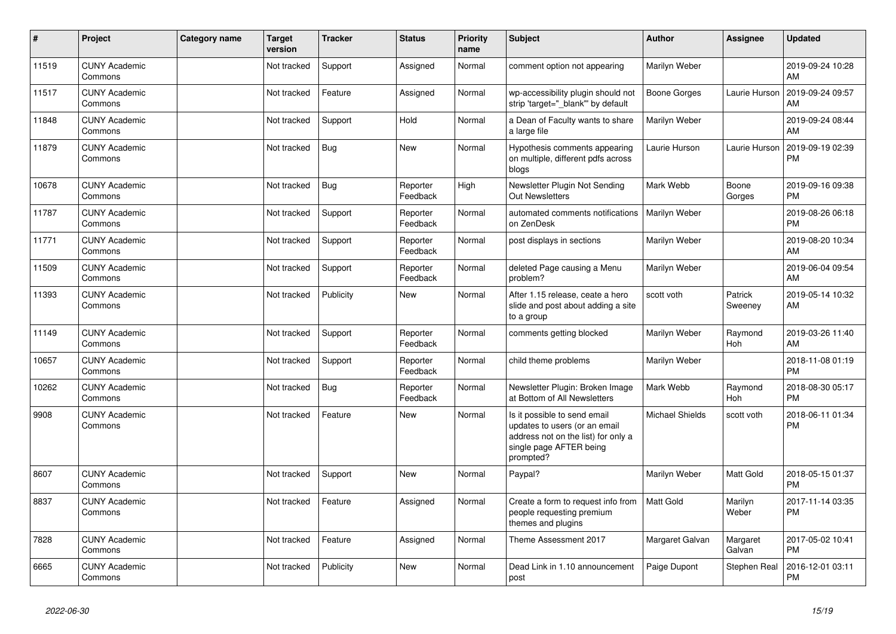| #     | Project                         | Category name | <b>Target</b><br>version | <b>Tracker</b> | <b>Status</b>        | <b>Priority</b><br>name | <b>Subject</b>                                                                                                                               | <b>Author</b>          | Assignee           | <b>Updated</b>                |
|-------|---------------------------------|---------------|--------------------------|----------------|----------------------|-------------------------|----------------------------------------------------------------------------------------------------------------------------------------------|------------------------|--------------------|-------------------------------|
| 11519 | <b>CUNY Academic</b><br>Commons |               | Not tracked              | Support        | Assigned             | Normal                  | comment option not appearing                                                                                                                 | Marilyn Weber          |                    | 2019-09-24 10:28<br>AM        |
| 11517 | <b>CUNY Academic</b><br>Commons |               | Not tracked              | Feature        | Assigned             | Normal                  | wp-accessibility plugin should not<br>strip 'target="_blank"' by default                                                                     | <b>Boone Gorges</b>    | Laurie Hurson      | 2019-09-24 09:57<br>AM        |
| 11848 | <b>CUNY Academic</b><br>Commons |               | Not tracked              | Support        | Hold                 | Normal                  | a Dean of Faculty wants to share<br>a large file                                                                                             | Marilyn Weber          |                    | 2019-09-24 08:44<br>AM        |
| 11879 | <b>CUNY Academic</b><br>Commons |               | Not tracked              | Bug            | <b>New</b>           | Normal                  | Hypothesis comments appearing<br>on multiple, different pdfs across<br>blogs                                                                 | Laurie Hurson          | Laurie Hurson      | 2019-09-19 02:39<br><b>PM</b> |
| 10678 | <b>CUNY Academic</b><br>Commons |               | Not tracked              | Bug            | Reporter<br>Feedback | High                    | Newsletter Plugin Not Sending<br><b>Out Newsletters</b>                                                                                      | Mark Webb              | Boone<br>Gorges    | 2019-09-16 09:38<br><b>PM</b> |
| 11787 | <b>CUNY Academic</b><br>Commons |               | Not tracked              | Support        | Reporter<br>Feedback | Normal                  | automated comments notifications<br>on ZenDesk                                                                                               | Marilyn Weber          |                    | 2019-08-26 06:18<br><b>PM</b> |
| 11771 | <b>CUNY Academic</b><br>Commons |               | Not tracked              | Support        | Reporter<br>Feedback | Normal                  | post displays in sections                                                                                                                    | Marilyn Weber          |                    | 2019-08-20 10:34<br>AM        |
| 11509 | <b>CUNY Academic</b><br>Commons |               | Not tracked              | Support        | Reporter<br>Feedback | Normal                  | deleted Page causing a Menu<br>problem?                                                                                                      | Marilyn Weber          |                    | 2019-06-04 09:54<br>AM        |
| 11393 | <b>CUNY Academic</b><br>Commons |               | Not tracked              | Publicity      | New                  | Normal                  | After 1.15 release, ceate a hero<br>slide and post about adding a site<br>to a group                                                         | scott voth             | Patrick<br>Sweeney | 2019-05-14 10:32<br>AM        |
| 11149 | <b>CUNY Academic</b><br>Commons |               | Not tracked              | Support        | Reporter<br>Feedback | Normal                  | comments getting blocked                                                                                                                     | Marilyn Weber          | Raymond<br>Hoh     | 2019-03-26 11:40<br>AM        |
| 10657 | <b>CUNY Academic</b><br>Commons |               | Not tracked              | Support        | Reporter<br>Feedback | Normal                  | child theme problems                                                                                                                         | Marilyn Weber          |                    | 2018-11-08 01:19<br><b>PM</b> |
| 10262 | <b>CUNY Academic</b><br>Commons |               | Not tracked              | Bug            | Reporter<br>Feedback | Normal                  | Newsletter Plugin: Broken Image<br>at Bottom of All Newsletters                                                                              | Mark Webb              | Raymond<br>Hoh     | 2018-08-30 05:17<br><b>PM</b> |
| 9908  | <b>CUNY Academic</b><br>Commons |               | Not tracked              | Feature        | <b>New</b>           | Normal                  | Is it possible to send email<br>updates to users (or an email<br>address not on the list) for only a<br>single page AFTER being<br>prompted? | <b>Michael Shields</b> | scott voth         | 2018-06-11 01:34<br><b>PM</b> |
| 8607  | <b>CUNY Academic</b><br>Commons |               | Not tracked              | Support        | <b>New</b>           | Normal                  | Paypal?                                                                                                                                      | Marilyn Weber          | <b>Matt Gold</b>   | 2018-05-15 01:37<br><b>PM</b> |
| 8837  | <b>CUNY Academic</b><br>Commons |               | Not tracked              | Feature        | Assigned             | Normal                  | Create a form to request info from<br>people requesting premium<br>themes and plugins                                                        | <b>Matt Gold</b>       | Marilyn<br>Weber   | 2017-11-14 03:35<br><b>PM</b> |
| 7828  | <b>CUNY Academic</b><br>Commons |               | Not tracked              | Feature        | Assigned             | Normal                  | Theme Assessment 2017                                                                                                                        | Margaret Galvan        | Margaret<br>Galvan | 2017-05-02 10:41<br><b>PM</b> |
| 6665  | <b>CUNY Academic</b><br>Commons |               | Not tracked              | Publicity      | <b>New</b>           | Normal                  | Dead Link in 1.10 announcement<br>post                                                                                                       | Paige Dupont           | Stephen Real       | 2016-12-01 03:11<br>PM        |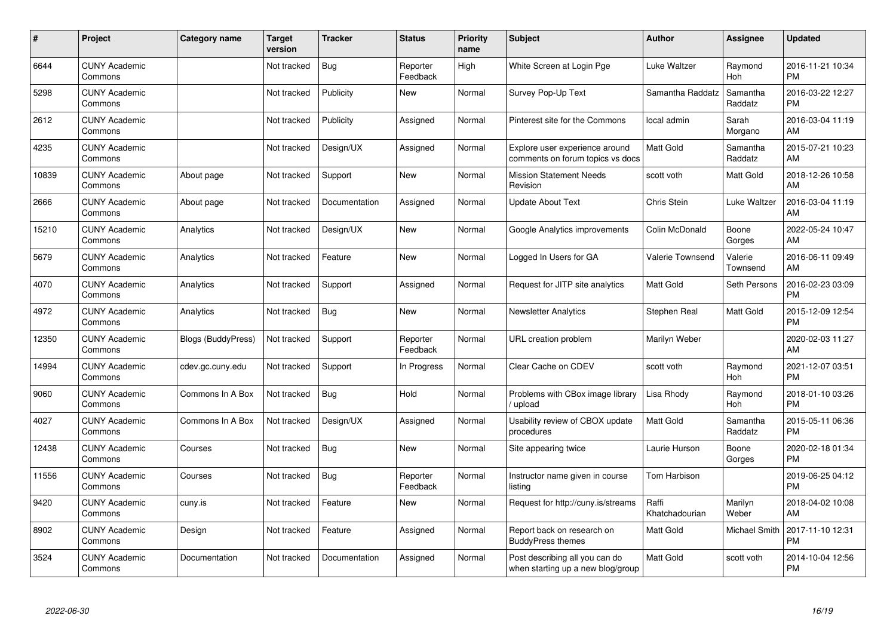| #     | Project                         | <b>Category name</b>      | <b>Target</b><br>version | <b>Tracker</b> | <b>Status</b>        | <b>Priority</b><br>name | <b>Subject</b>                                                      | <b>Author</b>           | <b>Assignee</b>     | <b>Updated</b>                |
|-------|---------------------------------|---------------------------|--------------------------|----------------|----------------------|-------------------------|---------------------------------------------------------------------|-------------------------|---------------------|-------------------------------|
| 6644  | <b>CUNY Academic</b><br>Commons |                           | Not tracked              | Bug            | Reporter<br>Feedback | High                    | White Screen at Login Pge                                           | Luke Waltzer            | Raymond<br>Hoh      | 2016-11-21 10:34<br><b>PM</b> |
| 5298  | <b>CUNY Academic</b><br>Commons |                           | Not tracked              | Publicity      | New                  | Normal                  | Survey Pop-Up Text                                                  | Samantha Raddatz        | Samantha<br>Raddatz | 2016-03-22 12:27<br><b>PM</b> |
| 2612  | <b>CUNY Academic</b><br>Commons |                           | Not tracked              | Publicity      | Assigned             | Normal                  | Pinterest site for the Commons                                      | local admin             | Sarah<br>Morgano    | 2016-03-04 11:19<br>AM        |
| 4235  | <b>CUNY Academic</b><br>Commons |                           | Not tracked              | Design/UX      | Assigned             | Normal                  | Explore user experience around<br>comments on forum topics vs docs  | <b>Matt Gold</b>        | Samantha<br>Raddatz | 2015-07-21 10:23<br>AM        |
| 10839 | <b>CUNY Academic</b><br>Commons | About page                | Not tracked              | Support        | <b>New</b>           | Normal                  | <b>Mission Statement Needs</b><br>Revision                          | scott voth              | Matt Gold           | 2018-12-26 10:58<br>AM        |
| 2666  | <b>CUNY Academic</b><br>Commons | About page                | Not tracked              | Documentation  | Assigned             | Normal                  | <b>Update About Text</b>                                            | Chris Stein             | Luke Waltzer        | 2016-03-04 11:19<br>AM        |
| 15210 | <b>CUNY Academic</b><br>Commons | Analytics                 | Not tracked              | Design/UX      | <b>New</b>           | Normal                  | Google Analytics improvements                                       | Colin McDonald          | Boone<br>Gorges     | 2022-05-24 10:47<br>AM        |
| 5679  | <b>CUNY Academic</b><br>Commons | Analytics                 | Not tracked              | Feature        | <b>New</b>           | Normal                  | Logged In Users for GA                                              | <b>Valerie Townsend</b> | Valerie<br>Townsend | 2016-06-11 09:49<br>AM        |
| 4070  | <b>CUNY Academic</b><br>Commons | Analytics                 | Not tracked              | Support        | Assigned             | Normal                  | Request for JITP site analytics                                     | <b>Matt Gold</b>        | Seth Persons        | 2016-02-23 03:09<br><b>PM</b> |
| 4972  | <b>CUNY Academic</b><br>Commons | Analytics                 | Not tracked              | Bug            | <b>New</b>           | Normal                  | <b>Newsletter Analytics</b>                                         | Stephen Real            | Matt Gold           | 2015-12-09 12:54<br><b>PM</b> |
| 12350 | <b>CUNY Academic</b><br>Commons | <b>Blogs (BuddyPress)</b> | Not tracked              | Support        | Reporter<br>Feedback | Normal                  | URL creation problem                                                | Marilyn Weber           |                     | 2020-02-03 11:27<br>AM        |
| 14994 | <b>CUNY Academic</b><br>Commons | cdev.gc.cuny.edu          | Not tracked              | Support        | In Progress          | Normal                  | Clear Cache on CDEV                                                 | scott voth              | Raymond<br>Hoh      | 2021-12-07 03:51<br><b>PM</b> |
| 9060  | <b>CUNY Academic</b><br>Commons | Commons In A Box          | Not tracked              | <b>Bug</b>     | Hold                 | Normal                  | Problems with CBox image library<br>upload                          | Lisa Rhody              | Raymond<br>Hoh      | 2018-01-10 03:26<br><b>PM</b> |
| 4027  | <b>CUNY Academic</b><br>Commons | Commons In A Box          | Not tracked              | Design/UX      | Assigned             | Normal                  | Usability review of CBOX update<br>procedures                       | <b>Matt Gold</b>        | Samantha<br>Raddatz | 2015-05-11 06:36<br><b>PM</b> |
| 12438 | <b>CUNY Academic</b><br>Commons | Courses                   | Not tracked              | Bug            | New                  | Normal                  | Site appearing twice                                                | Laurie Hurson           | Boone<br>Gorges     | 2020-02-18 01:34<br><b>PM</b> |
| 11556 | <b>CUNY Academic</b><br>Commons | Courses                   | Not tracked              | Bug            | Reporter<br>Feedback | Normal                  | Instructor name given in course<br>listing                          | Tom Harbison            |                     | 2019-06-25 04:12<br><b>PM</b> |
| 9420  | <b>CUNY Academic</b><br>Commons | cuny.is                   | Not tracked              | Feature        | New                  | Normal                  | Request for http://cuny.is/streams                                  | Raffi<br>Khatchadourian | Marilyn<br>Weber    | 2018-04-02 10:08<br>AM        |
| 8902  | <b>CUNY Academic</b><br>Commons | Design                    | Not tracked              | Feature        | Assigned             | Normal                  | Report back on research on<br><b>BuddyPress themes</b>              | Matt Gold               | Michael Smith       | 2017-11-10 12:31<br><b>PM</b> |
| 3524  | <b>CUNY Academic</b><br>Commons | Documentation             | Not tracked              | Documentation  | Assigned             | Normal                  | Post describing all you can do<br>when starting up a new blog/group | <b>Matt Gold</b>        | scott voth          | 2014-10-04 12:56<br><b>PM</b> |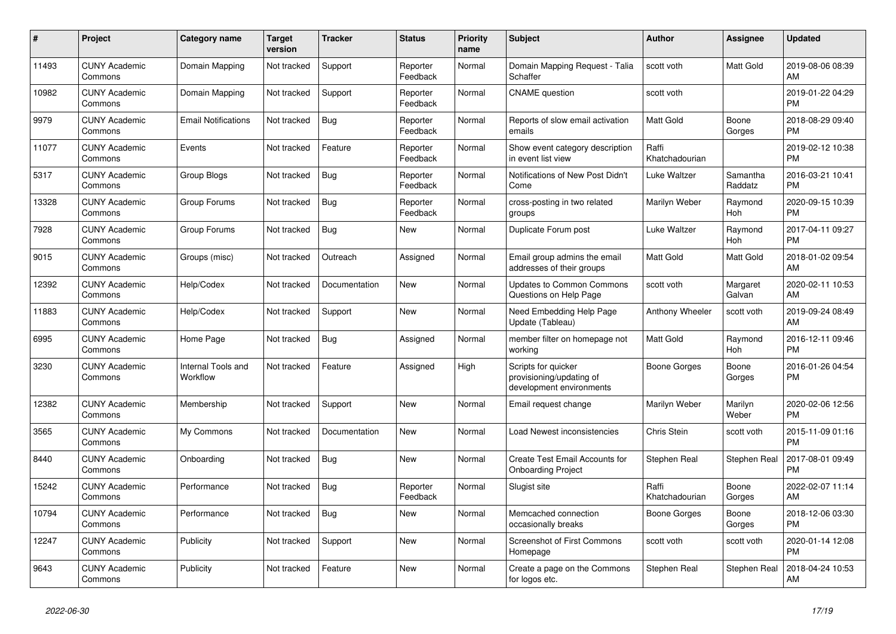| $\pmb{\#}$ | Project                         | <b>Category name</b>           | <b>Target</b><br>version | <b>Tracker</b> | <b>Status</b>        | <b>Priority</b><br>name | <b>Subject</b>                                                              | <b>Author</b>           | Assignee            | <b>Updated</b>                |
|------------|---------------------------------|--------------------------------|--------------------------|----------------|----------------------|-------------------------|-----------------------------------------------------------------------------|-------------------------|---------------------|-------------------------------|
| 11493      | <b>CUNY Academic</b><br>Commons | Domain Mapping                 | Not tracked              | Support        | Reporter<br>Feedback | Normal                  | Domain Mapping Request - Talia<br>Schaffer                                  | scott voth              | Matt Gold           | 2019-08-06 08:39<br>AM        |
| 10982      | <b>CUNY Academic</b><br>Commons | Domain Mapping                 | Not tracked              | Support        | Reporter<br>Feedback | Normal                  | <b>CNAME</b> question                                                       | scott voth              |                     | 2019-01-22 04:29<br><b>PM</b> |
| 9979       | <b>CUNY Academic</b><br>Commons | <b>Email Notifications</b>     | Not tracked              | Bug            | Reporter<br>Feedback | Normal                  | Reports of slow email activation<br>emails                                  | <b>Matt Gold</b>        | Boone<br>Gorges     | 2018-08-29 09:40<br><b>PM</b> |
| 11077      | <b>CUNY Academic</b><br>Commons | Events                         | Not tracked              | Feature        | Reporter<br>Feedback | Normal                  | Show event category description<br>in event list view                       | Raffi<br>Khatchadourian |                     | 2019-02-12 10:38<br><b>PM</b> |
| 5317       | <b>CUNY Academic</b><br>Commons | <b>Group Blogs</b>             | Not tracked              | Bug            | Reporter<br>Feedback | Normal                  | Notifications of New Post Didn't<br>Come                                    | Luke Waltzer            | Samantha<br>Raddatz | 2016-03-21 10:41<br><b>PM</b> |
| 13328      | <b>CUNY Academic</b><br>Commons | Group Forums                   | Not tracked              | Bug            | Reporter<br>Feedback | Normal                  | cross-posting in two related<br>groups                                      | Marilyn Weber           | Raymond<br>Hoh      | 2020-09-15 10:39<br><b>PM</b> |
| 7928       | <b>CUNY Academic</b><br>Commons | Group Forums                   | Not tracked              | Bug            | <b>New</b>           | Normal                  | Duplicate Forum post                                                        | Luke Waltzer            | Raymond<br>Hoh      | 2017-04-11 09:27<br><b>PM</b> |
| 9015       | <b>CUNY Academic</b><br>Commons | Groups (misc)                  | Not tracked              | Outreach       | Assigned             | Normal                  | Email group admins the email<br>addresses of their groups                   | <b>Matt Gold</b>        | Matt Gold           | 2018-01-02 09:54<br>AM        |
| 12392      | <b>CUNY Academic</b><br>Commons | Help/Codex                     | Not tracked              | Documentation  | <b>New</b>           | Normal                  | <b>Updates to Common Commons</b><br>Questions on Help Page                  | scott voth              | Margaret<br>Galvan  | 2020-02-11 10:53<br>AM        |
| 11883      | <b>CUNY Academic</b><br>Commons | Help/Codex                     | Not tracked              | Support        | <b>New</b>           | Normal                  | Need Embedding Help Page<br>Update (Tableau)                                | Anthony Wheeler         | scott voth          | 2019-09-24 08:49<br>AM        |
| 6995       | <b>CUNY Academic</b><br>Commons | Home Page                      | Not tracked              | Bug            | Assigned             | Normal                  | member filter on homepage not<br>workina                                    | Matt Gold               | Raymond<br>Hoh      | 2016-12-11 09:46<br><b>PM</b> |
| 3230       | <b>CUNY Academic</b><br>Commons | Internal Tools and<br>Workflow | Not tracked              | Feature        | Assigned             | High                    | Scripts for quicker<br>provisioning/updating of<br>development environments | Boone Gorges            | Boone<br>Gorges     | 2016-01-26 04:54<br><b>PM</b> |
| 12382      | <b>CUNY Academic</b><br>Commons | Membership                     | Not tracked              | Support        | <b>New</b>           | Normal                  | Email request change                                                        | Marilyn Weber           | Marilyn<br>Weber    | 2020-02-06 12:56<br><b>PM</b> |
| 3565       | <b>CUNY Academic</b><br>Commons | My Commons                     | Not tracked              | Documentation  | New                  | Normal                  | Load Newest inconsistencies                                                 | Chris Stein             | scott voth          | 2015-11-09 01:16<br><b>PM</b> |
| 8440       | <b>CUNY Academic</b><br>Commons | Onboarding                     | Not tracked              | <b>Bug</b>     | New                  | Normal                  | Create Test Email Accounts for<br><b>Onboarding Project</b>                 | Stephen Real            | Stephen Real        | 2017-08-01 09:49<br><b>PM</b> |
| 15242      | <b>CUNY Academic</b><br>Commons | Performance                    | Not tracked              | Bug            | Reporter<br>Feedback | Normal                  | Slugist site                                                                | Raffi<br>Khatchadourian | Boone<br>Gorges     | 2022-02-07 11:14<br>AM        |
| 10794      | <b>CUNY Academic</b><br>Commons | Performance                    | Not tracked              | Bug            | New                  | Normal                  | Memcached connection<br>occasionally breaks                                 | Boone Gorges            | Boone<br>Gorges     | 2018-12-06 03:30<br><b>PM</b> |
| 12247      | <b>CUNY Academic</b><br>Commons | Publicity                      | Not tracked              | Support        | New                  | Normal                  | <b>Screenshot of First Commons</b><br>Homepage                              | scott voth              | scott voth          | 2020-01-14 12:08<br><b>PM</b> |
| 9643       | <b>CUNY Academic</b><br>Commons | Publicity                      | Not tracked              | Feature        | <b>New</b>           | Normal                  | Create a page on the Commons<br>for logos etc.                              | Stephen Real            | Stephen Real        | 2018-04-24 10:53<br>AM        |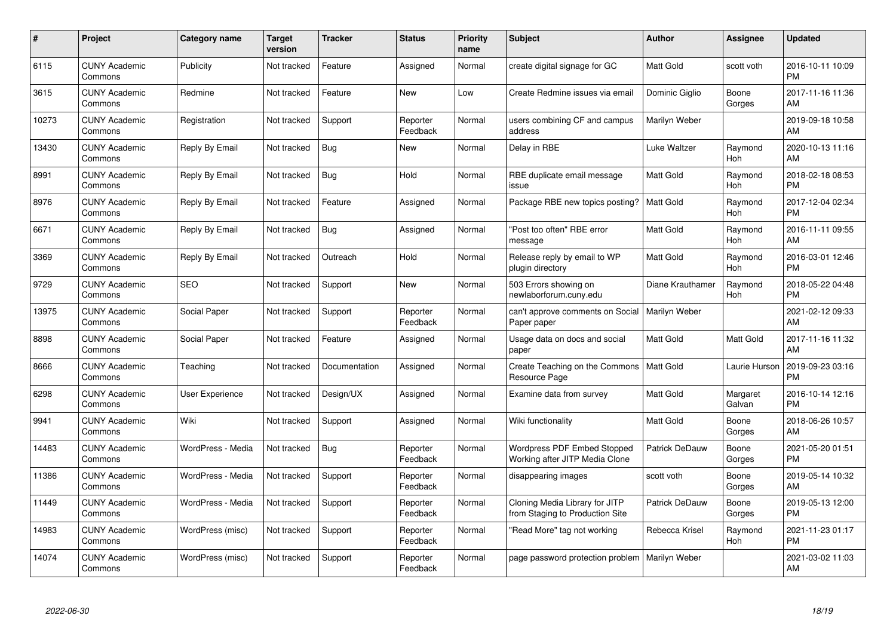| #     | Project                         | Category name     | <b>Target</b><br>version | <b>Tracker</b> | <b>Status</b>        | Priority<br>name | <b>Subject</b>                                                       | <b>Author</b>        | <b>Assignee</b>    | <b>Updated</b>                |
|-------|---------------------------------|-------------------|--------------------------|----------------|----------------------|------------------|----------------------------------------------------------------------|----------------------|--------------------|-------------------------------|
| 6115  | <b>CUNY Academic</b><br>Commons | Publicity         | Not tracked              | Feature        | Assigned             | Normal           | create digital signage for GC                                        | <b>Matt Gold</b>     | scott voth         | 2016-10-11 10:09<br><b>PM</b> |
| 3615  | <b>CUNY Academic</b><br>Commons | Redmine           | Not tracked              | Feature        | <b>New</b>           | Low              | Create Redmine issues via email                                      | Dominic Giglio       | Boone<br>Gorges    | 2017-11-16 11:36<br>AM        |
| 10273 | <b>CUNY Academic</b><br>Commons | Registration      | Not tracked              | Support        | Reporter<br>Feedback | Normal           | users combining CF and campus<br>address                             | Marilyn Weber        |                    | 2019-09-18 10:58<br>AM        |
| 13430 | <b>CUNY Academic</b><br>Commons | Reply By Email    | Not tracked              | Bug            | New                  | Normal           | Delay in RBE                                                         | Luke Waltzer         | Raymond<br>Hoh     | 2020-10-13 11:16<br>AM        |
| 8991  | <b>CUNY Academic</b><br>Commons | Reply By Email    | Not tracked              | <b>Bug</b>     | Hold                 | Normal           | RBE duplicate email message<br>issue                                 | Matt Gold            | Raymond<br>Hoh     | 2018-02-18 08:53<br><b>PM</b> |
| 8976  | <b>CUNY Academic</b><br>Commons | Reply By Email    | Not tracked              | Feature        | Assigned             | Normal           | Package RBE new topics posting?                                      | <b>Matt Gold</b>     | Raymond<br>Hoh     | 2017-12-04 02:34<br><b>PM</b> |
| 6671  | <b>CUNY Academic</b><br>Commons | Reply By Email    | Not tracked              | Bug            | Assigned             | Normal           | "Post too often" RBE error<br>message                                | Matt Gold            | Raymond<br>Hoh     | 2016-11-11 09:55<br>AM        |
| 3369  | <b>CUNY Academic</b><br>Commons | Reply By Email    | Not tracked              | Outreach       | Hold                 | Normal           | Release reply by email to WP<br>plugin directory                     | <b>Matt Gold</b>     | Raymond<br>Hoh     | 2016-03-01 12:46<br><b>PM</b> |
| 9729  | <b>CUNY Academic</b><br>Commons | <b>SEO</b>        | Not tracked              | Support        | New                  | Normal           | 503 Errors showing on<br>newlaborforum.cuny.edu                      | Diane Krauthamer     | Raymond<br>Hoh     | 2018-05-22 04:48<br><b>PM</b> |
| 13975 | <b>CUNY Academic</b><br>Commons | Social Paper      | Not tracked              | Support        | Reporter<br>Feedback | Normal           | can't approve comments on Social<br>Paper paper                      | Marilyn Weber        |                    | 2021-02-12 09:33<br>AM        |
| 8898  | <b>CUNY Academic</b><br>Commons | Social Paper      | Not tracked              | Feature        | Assigned             | Normal           | Usage data on docs and social<br>paper                               | Matt Gold            | Matt Gold          | 2017-11-16 11:32<br>AM        |
| 8666  | <b>CUNY Academic</b><br>Commons | Teaching          | Not tracked              | Documentation  | Assigned             | Normal           | Create Teaching on the Commons<br>Resource Page                      | <b>Matt Gold</b>     | Laurie Hurson      | 2019-09-23 03:16<br><b>PM</b> |
| 6298  | <b>CUNY Academic</b><br>Commons | User Experience   | Not tracked              | Design/UX      | Assigned             | Normal           | Examine data from survey                                             | Matt Gold            | Margaret<br>Galvan | 2016-10-14 12:16<br><b>PM</b> |
| 9941  | <b>CUNY Academic</b><br>Commons | Wiki              | Not tracked              | Support        | Assigned             | Normal           | Wiki functionality                                                   | Matt Gold            | Boone<br>Gorges    | 2018-06-26 10:57<br>AM        |
| 14483 | <b>CUNY Academic</b><br>Commons | WordPress - Media | Not tracked              | Bug            | Reporter<br>Feedback | Normal           | <b>Wordpress PDF Embed Stopped</b><br>Working after JITP Media Clone | Patrick DeDauw       | Boone<br>Gorges    | 2021-05-20 01:51<br><b>PM</b> |
| 11386 | <b>CUNY Academic</b><br>Commons | WordPress - Media | Not tracked              | Support        | Reporter<br>Feedback | Normal           | disappearing images                                                  | scott voth           | Boone<br>Gorges    | 2019-05-14 10:32<br>AM        |
| 11449 | <b>CUNY Academic</b><br>Commons | WordPress - Media | Not tracked              | Support        | Reporter<br>Feedback | Normal           | Cloning Media Library for JITP<br>from Staging to Production Site    | Patrick DeDauw       | Boone<br>Gorges    | 2019-05-13 12:00<br><b>PM</b> |
| 14983 | <b>CUNY Academic</b><br>Commons | WordPress (misc)  | Not tracked              | Support        | Reporter<br>Feedback | Normal           | "Read More" tag not working                                          | Rebecca Krisel       | Raymond<br>Hoh     | 2021-11-23 01:17<br><b>PM</b> |
| 14074 | <b>CUNY Academic</b><br>Commons | WordPress (misc)  | Not tracked              | Support        | Reporter<br>Feedback | Normal           | page password protection problem                                     | <b>Marilyn Weber</b> |                    | 2021-03-02 11:03<br>AM        |